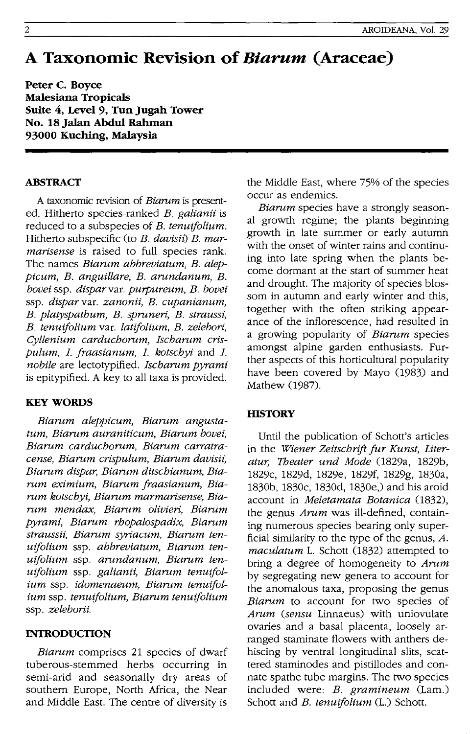# **A Taxonomic Revision of** *Biarum* **(Araceae)**

**Peter C. Boyce Malesiana Tropicals Suite 4, Level 9, Tun Jugah Tower No. 18 Jalan Abdul Rahman 93000 Kuching, Malaysia** 

### **ABSTRACT**

A taxonomic revision of *Biarum* is presented. Hitherto species-ranked *B. galianii* is reduced to a subspecies of *B. tenuifolium.*  Hitherto subspecific (to *B. davisii) B. marmarisense* is raised to full species rank. The names *Biarum abbreviatum, B. aleppicum, B. anguillare, B. arundanum, B. bovei* ssp. *disparvar. purpureum, B. bovei*  ssp. *dispar* var. *zanonii, B. cupanianum, B. platyspathum, B. spruneri, B. straussi, B. tenuifolium* var. *latifolium, B. zelebori, Cyllenium carduchorum, Ischarum crispulum,* 1. *jraasianum,* 1. *kotschyi* and 1. *nobile* are lectotypified. *Ischarum pyrami*  is epitypified. A key to all taxa is provided.

### **KEY WORDS**

*Biarum aleppicum, Biarum angustatum, Biarum auraniticum, Biarum bovei, Biarum carduchorum, Biarum carratracense, Biarum crispulum, Biarum davisii, Biarum dispar, Biarum ditschianum, Biarum eximium, Biarum jraasianum, Biarum kotschyi, Biarum marmarisense, Biarum mendax, Biarum olivieri, Biarum pyrami, Biarum rhopalospadix, Biarum straussii, Biarum syriacum, Biarum tenuifolium* ssp. *abbreviatum, Biarum tenuifolium* ssp. *arundanum, Biarum tenuifolium* ssp. *galianii, Biarum tenuifolium* ssp. *idomenaeum, Biarum tenuifolium* ssp. *tenuifolium, Biarum tenuifolium*  ssp. *zeleborii.* 

### **INTRODUCTION**

*Biarum* comprises 21 species of dwarf tuberous-stemmed herbs occurring in semi-arid and seasonally dry areas of southern Europe, North Africa, the Near and Middle East. The centre of diversity is

the Middle East, where 75% of the species occur as endemics.

*Biarum* species have a strongly seasonal growth regime; the plants beginning growth in late summer or early autumn with the onset of winter rains and continuing into late spring when the plants become dormant at the start of summer heat and drought. The majority of species blossom in autumn and early winter and this, together with the often striking appearance of the inflorescence, had resulted in a growing popularity of *Biarum* species amongst alpine garden enthusiasts. Further aspects of this horticultural popularity have been covered by Mayo (1983) and Mathew (1987).

### **HISTORY**

Until the publication of Schott's articles in the *Wiener Zeitschrijt jur Kunst, Literatur, Theater und Mode* (1829a, 1829b, 1829c, 1829d, 182ge, 1829f, 1829g, 1830a, 1830b, 1830c, 1830d, 1830e,) and his aroid account in *Meletamata Botanica (1832),*  the genus *Arum* was ill-defined, containing numerous species bearing only superficial similarity to the type of the genus, *A. maculatum L. Schott (1832)* attempted to bring a degree of homogeneity to *Arum*  by segregating new genera to account for the anomalous taxa, proposing the genus *Biarum* to account for two species of *Arum (sensu* Linnaeus) with uniovulate ovaries and a basal placenta, loosely arranged staminate flowers with anthers dehiscing by ventral longitudinal slits, scattered staminodes and pistillodes and connate spathe tube margins. The two species included were: *B. gramineum* (Lam.) Schott and *B. tenuifolium* (L.) Schott.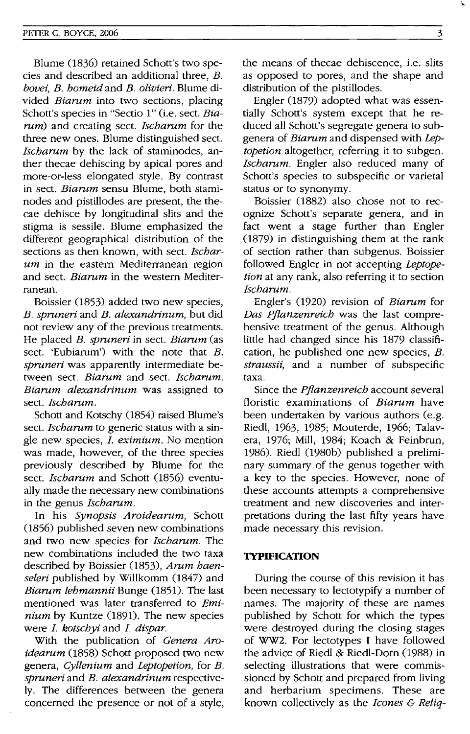Blume (1836) retained Schott's two species and described an additional three, *B. bovei, B. homeid* and B. *olivieri.* Blume divided *Biarum* into two sections, placing Schott's species in "Sectio 1" (i.e. sect. *Biarum)* and creating sect. *Ischarum* for the three new ones. Blume distinguished sect. *Ischarum* by the lack of staminodes, anther thecae dehiscing by apical pores and more-or-Iess elongated style. By contrast in sect. *Biarum* sensu Blume, both staminodes and pistillodes are present, the thecae dehisce by longitudinal slits and the stigma is sessile. Blume emphasized the different geographical distribution of the sections as then known, with sect. *Ischarum* in the eastern Mediterranean region and sect. *Biarum* in the western Mediterranean.

Boissier (1853) added two new species, *B. spruneri* and *B. alexandrinum,* but did not review any of the previous treatments. He placed *B. spruneri* in sect. *Biarum* (as sect. 'Eubiarum') with the note that *B. spruneri* was apparently intermediate between sect. *Biarum* and sect. *Ischarum. Biarum alexandrinum* was assigned to sect. *Ischarum.* 

Schott and Kotschy (1854) raised Blume's sect. *Ischarum* to generic status with a single new species, *I. eximium.* No mention was made, however, of the three species previously described by Blume for the sect. *Ischarum* and Schott (1856) eventually made the necessary new combinations in the genus *Ischarum.* 

In his *Synopsis Aroidearum,* Schott (1856) published seven new combinations and two new species for *Ischarum.* The new combinations included the two taxa described by Boissier (1853), *Arum haenseleri* published by Willkomm (1847) and *Biarum lehmannii* Bunge (1851). The last mentioned was later transferred to *Eminium* by Kuntze (1891). The new species were *I. kotschyi* and *I. dispar.* 

With the publication of *Genera Aroidearum* (1858) Schott proposed two new genera, *Cyllenium* and *Leptopetion,* for *B. spruneri* and *B. alexandrinum* respectively. The differences between the genera concerned the presence or not of a style, the means of thecae dehiscence, i.e. slits as opposed to pores, and the shape and distribution of the pistillodes.

Engler (1879) adopted what was essentially Schott's system except that he reduced all Schott's segregate genera to subgenera of *Biarum* and dispensed with *Leptopetion* altogether, referring it to subgen. *Ischarum.* Engler also reduced many of Schott's species to subspecific or varietal status or to synonymy.

Boissier (1882) also chose not to recognize Schott's separate genera, and in fact went a stage further than Engler (1879) in distinguishing them at the rank of section rather than subgenus. Boissier followed Engler in not accepting *Leptopetion* at any rank, also referring it to section *Ischarum.* 

Engler's (1920) revision of *Biarum* for *Das Pjlanzenreich* was the last comprehensive treatment of the genus. Although little had changed since his 1879 classification, he published one new species, *B. straussii,* and a number of subspecific taxa.

Since the *Pjlanzenreich* account several floristic examinations of *Biarum* have been undertaken by various authors (e.g. Riedl, 1963, 1985; Mouterde, 1966; Talavera, 1976; Mill, 1984; Koach & Feinbrun, 1986). Riedl (1980b) published a preliminary summary of the genus together with a key to the species. However, none of these accounts attempts a comprehensive treatment and new discoveries and interpretations during the last fifty years have made necessary this revision.

### **TYPIFICATION**

During the course of this revision it has been necessary to lectotypify a number of names. The majority of these are names published by Schott for which the types were destroyed during the closing stages of WW2. For lectotypes I have followed the advice of Riedl & Riedl-Dorn (1988) in selecting illustrations that were commissioned by Schott and prepared from living and herbarium specimens. These are known collectively as the *!cones* & *Reliq-*

3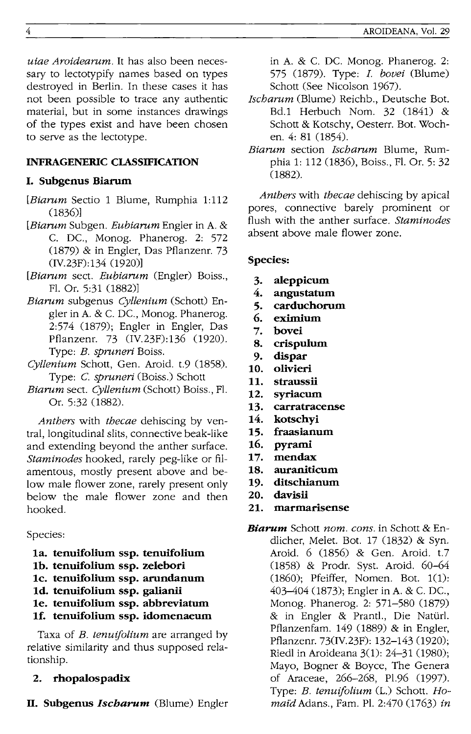*uiae Aroideamm.* It has also been necessary to lectotypify names based on types destroyed in Berlin. In these cases it has not been possible to trace any authentic material, but in some instances drawings of the types exist and have been chosen to serve as the lectotype.

# **INFRAGENERIC CLASSIFICATION**

# **I. Subgenus Biarum**

- *[Biamm* Sectio 1 Blume, Rumphia 1:112 (1836)]
- *[Biamm* Subgen. *Eubiamm* Engler in A. & C. DC., Monog. Phanerog. 2: 572 (1879) & in Engler, Das Pflanzenr. 73 (IV.23F): 134 (1920)]
- *[Biamm* sect. *Eubiamm* (Engler) Boiss., Fl. Or. 5:31 (1882)]
- *Biamm* subgenus *Cyllenium* (Schott) Engler in A. & c. DC., Monog. Phanerog. 2:574 (1879); Engler in Engler, Das Pflanzenr. 73 (IV.23F):136 (1920). Type: *B. spmneri* Boiss.
- *Cyllenium* Schott, Gen. Aroid. t.9 (1858). Type: C. *spmneri* (Boiss.) Schott
- *Biamm* sect. *Cyllenium* (Schott) Boiss., Fl. Or. 5:32 (1882).

*Anthers* with *thecae* dehiscing by ventral, longitudinal slits, connective beak-like and extending beyond the anther surface. *Staminodes* hooked, rarely peg-like or filamentous, mostly present above and below male flower zone, rarely present only below the male flower zone and then hooked.

# Species:

- **1a. tenuifolium ssp. tenuifolium**
- **lb. tenuifolium ssp. zelebori**
- **Ie. tenuifolium ssp. arundanum**
- **1d. tenuifolium ssp. galianii**
- **Ie. tenuifolium ssp. abbreviatum**
- **If. tenuifolium ssp. idomenaeum**

Taxa of *B. tenuifolium* are arranged by relative similarity and thus supposed relationship.

# **2. rhopalospadix**

**II. Subgenus** *Ischarum* (Blume) Engler

in A. & c. DC. Monog. Phanerog. 2: 575 (1879). Type: *I. bovei* (Blume) Schott (See Nicolson 1967).

- *Ischamm* (Blume) Reichb., Deutsche Bot. Bd.1 Herbuch Nom. 32 (1841) & Schott & Kotschy, Oesterr. Bot. Wochen. 4: 81 (1854).
- *Biamm* section *Ischamm* Blume, Rumphia 1: 112 (1836), Boiss., FI. Or. 5: 32 (1882).

*Anthers* with *thecae* dehiscing by apical pores, connective barely prominent or flush with the anther surface. *Staminodes*  absent above male flower zone.

# **Species:**

- **3. aleppicum**
- **4. angustatum**
- **5. earduehorum**
- **6. eximium**
- **7. bovei**
- **8. erispulum**
- **9. dispar**
- **10. olivieri**
- **11. straussii**
- **12. syriaeum**
- **13. earratracense**
- **14. kotsehyi**
- **15. fraasianum**
- **16. pyrami**
- **17. mendax**
- **18. auraniticum**
- **19. ditsehianum**
- **20. davisii**
- **21. marmarisense**
- *Biarum* Schott *nom. cons.* in Schott & Endlicher, Melet. Bot. 17 (1832) & Syn. Aroid. 6 (1856) & Gen. Aroid. t.7 (1858) & Prodr. Syst. Aroid. 60-64 (1860); Pfeiffer, Nomen. Bot. 1(1): 403-404 (1873); Engler in A. & c. DC., Monog. Phanerog. 2: 571-580 (1879) & in Engler & Prantl., Die Natürl. Pflanzenfam. 149 (1889) & in Engler, Pflanzenr. 73(IY.23F): 132-143 (1920); Riedl in Aroideana 3(1): 24-31 (1980); Mayo, Bogner & Boyce, The Genera of Araceae, 266-268, PI.96 (1997). Type: *B. tenuifolium* (1.) Schott. *Homaid* Adans., Fam. PI. 2:470 (1763) *in*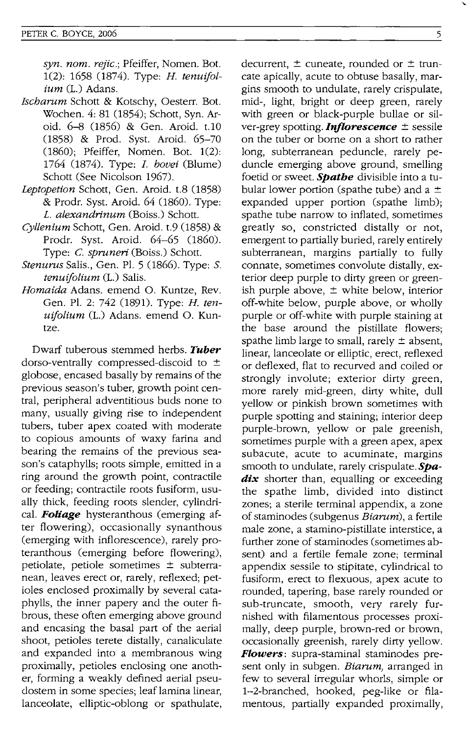*syn. nom. rejic.;* Pfeiffer, Nomen. Bot. 1(2): 1658 (1874). Type: *H. tenuifolium* (L.) Adans.

- *Ischarum* Schott & Kotschy, Oesterr. Bot. Wochen. 4: 81 (1854); Schott, Syn. Aroid. 6-8 (1856) & Gen. Aroid. t.1O (1858) & Prod. Syst. Aroid. 65-70 (1860); Pfeiffer, Nomen. Bot. 1(2): 1764 (1874). Type: 1. *bovei* (Blume) Schott (See Nicolson 1967).
- *Leptopetion* Schott, Gen. Aroid. t.8 (1858) & Prodr. Syst. Aroid. 64 (1860). Type: *L. alexandrinum* (Boiss.) Schott.
- *Cyllenium* Schott, Gen. Aroid. t.9 (1858) & Prodr. Syst. Aroid. 64-65 (1860). Type: C. *spruneri* (Boiss.) Schott.
- *Stenurus* Salis., Gen. PI. 5 (1866). Type: S. *tenuifolium* (L.) Salis.
- *Homaida* Adans. emend O. Kuntze, Rev. Gen. PI. 2: 742 (1891). Type: *H. tenuifolium* (L.) Adans. emend O. Kuntze.

Dwarf tuberous stemmed herbs. *Tuber*  dorso-ventrally compressed-discoid to ± globose, encased basally by remains of the previous season's tuber, growth point central, peripheral adventitious buds none to many, usually giving rise to independent tubers, tuber apex coated with moderate to copious amounts of waxy farina and bearing the remains of the previous season's cataphylls; roots simple, emitted in a ring around the growth point, contractile or feeding; contractile roots fusiform, usually thick, feeding roots slender, cylindrical. *Foliage* hysteranthous (emerging after flowering), occasionally synanthous (emerging with inflorescence), rarely proteranthous (emerging before flowering), petiolate, petiole sometimes ± subterranean, leaves erect or, rarely, reflexed; petioles enclosed proximally by several cataphylls, the inner papery and the outer fibrous, these often emerging above ground and encasing the basal part of the aerial shoot, petioles terete distally, canaliculate and expanded into a membranous wing proximally, petioles enclosing one another, forming a weakly defined aerial pseudostem in some species; leaf lamina linear, lanceolate, elliptic-oblong or spathulate, decurrent,  $\pm$  cuneate, rounded or  $\pm$  truncate apically, acute to obtuse basally, margins smooth to undulate, rarely crispulate, mid-, light, bright or deep green, rarely with green or black-purple bullae or silver-grey spotting. *Inflorescence* ± sessile on the tuber or borne on a short to rather long, subterranean peduncle, rarely peduncle emerging above ground, smelling foetid or sweet. *Spathe* divisible into a tubular lower portion (spathe tube) and a  $\pm$ expanded upper portion (spathe limb); spathe tube narrow to inflated, sometimes greatly so, constricted distally or not, emergent to partially buried, rarely entirely subterranean, margins partially to fully connate, sometimes convolute distally, exterior deep purple to dirty green or greenish purple above,  $\pm$  white below, interior off-white below, purple above, or wholly purple or off-white with purple staining at the base around the pistillate flowers; spathe limb large to small, rarely  $\pm$  absent, linear, lanceolate or elliptic, erect, reflexed or deflexed, flat to recurved and coiled or strongly involute; exterior dirty green, more rarely mid-green, dirty white, dull yellow or pinkish brown sometimes with purple spotting and staining; interior deep purple-brown, yellow or pale greenish, sometimes purple with a green apex, apex subacute, acute to acuminate, margins smooth to undulate, rarely crispulate. *Spa*dix shorter than, equalling or exceeding the spathe limb, divided into distinct zones; a sterile terminal appendix, a zone of staminodes (subgenus *Biarum),* a fertile male zone, a stamino-pistillate interstice, a further zone of staminodes (sometimes absent) and a fertile female zone; terminal appendix sessile to stipitate, cylindrical to fusiform, erect to flexuous, apex acute to rounded, tapering, base rarely rounded or sub-truncate, smooth, very rarely furnished with filamentous processes proximally, deep purple, brown-red or brown, occasionally greenish, rarely dirty yellow. *Flowers*: supra-staminal staminodes present only in subgen. *Biarum,* arranged in few to several irregular whorls, simple or 1-2-branched, hooked, peg-like or filamentous, partially expanded proximally,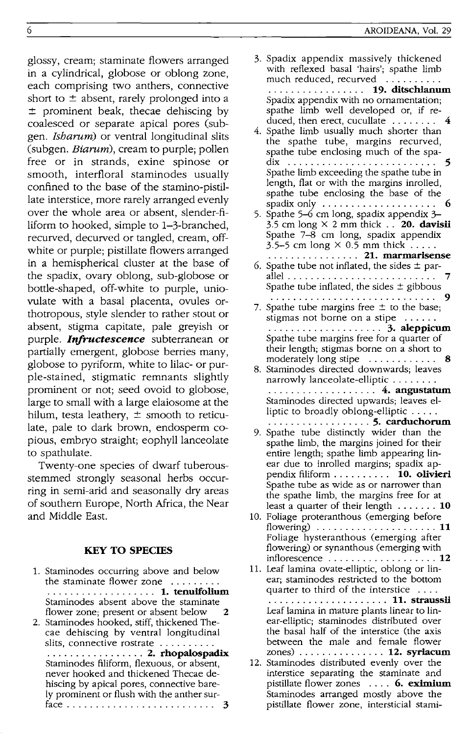glossy, cream; staminate flowers arranged in a cylindrical, globose or oblong zone, each comprising two anthers, connective short to  $\pm$  absent, rarely prolonged into a  $\pm$  prominent beak, thecae dehiscing by coalesced or separate apical pores (subgen. *Isbarum*) or ventral longitudinal slits  $subgen. *Biarum*$ ), cream to purple; pollen free or in strands, exine spinose or smooth, interfloral staminodes usually confined to the base of the stamino-pistillate interstice, more rarely arranged evenly over the whole area or absent, slender-filiform to hooked, simple to 1–3-branched. recurved, decurved or tangled, cream, offwhite or purple; pistillate flowers arranged in a hemispherical cluster at the base of the spadix, ovary oblong, sub-globose or bottle-shaped, off-white to purple, uniovulate with a basal placenta, ovules orthotropous, style slender to rather stout or absent, stigma capitate, pale greyish or purple. *Infructescence* subterranean or partially emergent, globose berries many, globose to pyriform, white to lilac- or purple-stained, stigmatic remnants slightly prominent or not; seed ovoid to globose, large to small with a large elaiosome at the hilum, testa leathery,  $\pm$  smooth to reticulate, pale to dark brown, endosperm copious, embryo straight; eophyll lanceolate to spathulate.

Twenty-one species of dwarf tuberousstemmed strongly seasonal herbs occurring in semi-arid and seasonally dry areas of southern Europe, North Africa, the Near and Middle East.

### **KEY TO SPECIES**

1. Staminodes occurring above and below staminodes occurring above and below<br>the staminate flower zone  $\dots \dots$ . . . . . . . . . . . . . . . . . .. 1. tenuifolium Staminodes absent above the staminate flower zone; present or absent below 2 2. Staminodes hooked, stiff, thickened Thecae dehiscing by ventral longitudinal slits, connective rostrate ......... ..................... 2. rhopalospadix Staminodes filiform, flexuous, or absent, never hooked and thickened Thecae dehiscing by apical pores, connective barely prominent or flush with the anther surface  $\dots \dots \dots \dots \dots \dots$ 

|     | 3. Spadix appendix massively thickened<br>with reflexed basal 'hairs'; spathe limb<br>much reduced, recurved                                 |
|-----|----------------------------------------------------------------------------------------------------------------------------------------------|
|     | 19. ditschianum                                                                                                                              |
|     | Spadix appendix with no ornamentation;                                                                                                       |
|     | spathe limb well developed or, if re-                                                                                                        |
|     | duced, then erect, cucullate<br>4                                                                                                            |
| 4.  | Spathe limb usually much shorter than                                                                                                        |
|     | the spathe tube, margins recurved,                                                                                                           |
|     | spathe tube enclosing much of the spa-                                                                                                       |
|     | $\begin{array}{l}\n\text{dist} & \dots & \dots & \dots & \dots & \dots \\ \text{Spathe limb exceeding the spathe tube in}\n\end{array}$<br>5 |
|     | length, flat or with the margins inrolled,                                                                                                   |
|     | spathe tube enclosing the base of the                                                                                                        |
|     | spadix only<br>6                                                                                                                             |
| 5.  | Spathe 5-6 cm long, spadix appendix 3-                                                                                                       |
|     | 3.5 cm long $\times$ 2 mm thick $\ldots$ 20. davisii                                                                                         |
|     | Spathe 7-8 cm long, spadix appendix                                                                                                          |
|     | 3.5–5 cm long $\times$ 0.5 mm thick $\dots$ .                                                                                                |
|     | 21. marmarisense                                                                                                                             |
| 6.  | Spathe tube not inflated, the sides $\pm$ par-                                                                                               |
|     | 7                                                                                                                                            |
|     | Spathe tube inflated, the sides $\pm$ gibbous<br>9                                                                                           |
| 7.  | Spathe tube margins free $\pm$ to the base;                                                                                                  |
|     | stigmas not borne on a stipe                                                                                                                 |
|     | $\ldots \ldots \ldots \ldots \ldots \ldots$ 3. aleppicum                                                                                     |
|     | Spathe tube margins free for a quarter of                                                                                                    |
|     | their length; stigmas borne on a short to                                                                                                    |
|     | moderately long stipe<br>8                                                                                                                   |
| 8.  | Staminodes directed downwards; leaves<br>narrowly lanceolate-elliptic                                                                        |
|     |                                                                                                                                              |
|     |                                                                                                                                              |
|     |                                                                                                                                              |
|     | Staminodes directed upwards; leaves el-                                                                                                      |
|     | liptic to broadly oblong-elliptic                                                                                                            |
|     | 5. carduchorum<br>9. Spathe tube distinctly wider than the                                                                                   |
|     | spathe limb, the margins joined for their                                                                                                    |
|     | entire length; spathe limb appearing lin-                                                                                                    |
|     | ear due to inrolled margins; spadix ap-                                                                                                      |
|     | pendix filiform 10. olivieri                                                                                                                 |
|     | Spathe tube as wide as or narrower than                                                                                                      |
|     | the spathe limb, the margins free for at                                                                                                     |
| 10. | least a quarter of their length $\dots \dots$ 10                                                                                             |
|     | Foliage proteranthous (emerging before<br>flowering) $\ldots \ldots \ldots \ldots \ldots \ldots \ldots$ 11                                   |
|     | Foliage hysteranthous (emerging after                                                                                                        |
|     | flowering) or synanthous (emerging with                                                                                                      |
|     | inflorescence $\dots\dots\dots\dots\dots\dots$                                                                                               |
|     | 11. Leaf lamina ovate-elliptic, oblong or lin-                                                                                               |
|     | ear; staminodes restricted to the bottom                                                                                                     |
|     | quarter to third of the interstice                                                                                                           |
|     | 11. straussii                                                                                                                                |
|     | Leaf lamina in mature plants linear to lin-<br>ear-elliptic; staminodes distributed over                                                     |
|     | the basal half of the interstice (the axis                                                                                                   |
|     | between the male and female flower                                                                                                           |
|     | zones)  12. syriacum                                                                                                                         |
|     | 12. Staminodes distributed evenly over the                                                                                                   |
|     | interstice separating the staminate and                                                                                                      |
|     | pistillate flower zones  6. eximium<br>.<br>Staminodes arranged mostly above the                                                             |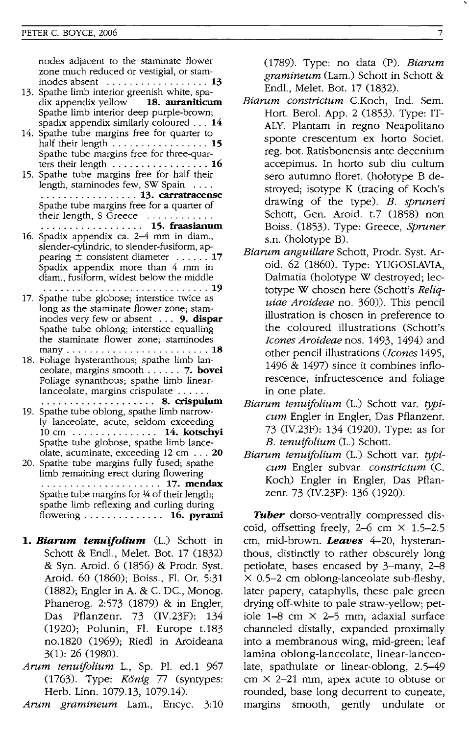nodes adjacent to the staminate flower zone much reduced or vestigial, or staminodes absent ..................... 13

- 13. Spathe limb interior greenish white, spadix appendix yellow **18. auraniticum** Spathe limb interior deep purple-brown; spadix appendix similarly coloured ... 14
- 14. Spathe tube margins free for quarter to half their length  $\dots \dots \dots \dots \dots$  15 Spathe tube margins free for three-quarters their length ................... 16
- 15. Spathe tube margins free for half their length, staminodes few, SW Spain .... . . . . . . . . . . . . . . . . . 13. carratracense Spathe tube margins free for a quarter of their length, S Greece ............
- . . . . . . . . . . . . . . . . .. 15. fraasianum 16. Spadix appendix ca. 2-4 mm in diam., slender-cylindric, to slender-fusiform, appearing  $\pm$  consistent diameter ...... 17 Spadix appendix more than 4 mm in diam., fusiform, widest below the middle ............................. 19
- 17. Spathe tube globose; interstice twice as long as the staminate flower zone; staminodes very few or absent ... 9. dispar Spathe tube oblong; interstice equalling the staminate flower zone; staminodes many ......................... 18
- 18. Foliage hysteranthous; spathe limb lanceolate, margins smooth ...... 7. bovei Foliage synanthous; spathe limb linearlanceolate, margins crispulate ..... .
- .. .. . . . . .. .. . . .. .. .. 8. crispulum 19. Spathe tube oblong, spathe limb narrowly lanceolate, acute, seldom exceeding 10 cm . . . . . . . . . . . . . . 14. kotschyi Spathe tube globose, spathe limb lanceolate, acuminate, exceeding 12 cm ... 20
- 20. Spathe tube margins fully fused; spathe limb remaining erect during flowering .......................... 17. mendax Spathe tube margins for 1/4 of their length; spathe limb reflexing and curling during flowering  $\dots \dots \dots \dots$  16. pyrami
- *1. Biarum tenuifolium* (L.) Schott in Schott & EndI., Melet. Bot. 17 (1832) & Syn. Aroid. 6 (1856) & Prodr. Syst. Aroid. 60 (1860); Boiss., FI. Or. 5:31 (1882); Engler in A. & c. DC., Monog. Phanerog. 2:573 (1879) & in Engler, Das Pflanzenr. 73 (IV.23F): 134 (920); Polunin, FI. Europe t.183 nO.1820 (1969); Riedl in Aroideana 3(1): 26 (1980).
- *Arum tenuifolium* L., Sp. PI. ed.1 967 (1763). Type: *Konig* 77 (syntypes: Herb. Linn. 1079.13, 1079.14).
- *Arum gramineum* Lam., Encyc. 3:10

(1789). Type: no data (P). *Biarum gramineum* (Lam.) Schott in Schott & EndI., Melet. Bot. 17 (1832).

- *Biarum constrictum* C.Koch, Ind. Sem. Hort. BeroI. App. 2 (1853). Type: IT-ALY. Plantam in regno Neapolitano sponte crescentum ex horto Societ. reg. bot. Ratisbonensis ante decenium accepimus. In horto sub diu cultum sero auturnno floret. (holotype B destroyed; isotype K (tracing of Koch's drawing of the type). *B. spruneri*  Schott, Gen. Aroid. t.7 (1858) non Boiss. (1853). Type: Greece, *Spruner*  s.n. (holotype B).
- *Biarum anguillare* Schott, Prodr. Syst. Aroid. 62 (1860). Type: YUGOSLAVIA, Dalmatia (holotype W destroyed; lectotype W chosen here (Schott's *Reliquiae Aroideae* no. 360)). This pencil illustration is chosen in preference to the coloured illustrations (Schott's */cones Aroideae* nos. 1493, 1494) and other pencil illustrations *(leones 1495,*  1496 & 1497) since it combines inflorescence, infructescence and foliage in one plate.
- *Biarum tenuifolium* (L.) Schott var. *typicum* Engler in Engler, Das Pflanzenr. 73 (IV. 23F): 134 (1920). Type: as for *B. tenuifolium* (L.) Schott.
- *Biarum tenuifolium* (L.) Schott var. *typicum* Engler subvar. *constrictum* (C. Koch) Engler in Engler, Das Pflanzenr. 73 (IV.23F): 136 (1920).

**Tuber** dorso-ventrally compressed discoid, offsetting freely, 2-6 cm  $\times$  1.5-2.5 em, mid-brown. *Leaves* 4-20, hysteranthous, distinctly to rather obscurely long petiolate, bases encased by 3-many, 2-8  $\times$  0.5–2 cm oblong-lanceolate sub-fleshy, later papery, cataphylls, these pale green drying off-white to pale straw-yellow; petiole 1-8 cm X 2-5 mm, adaxial surface channeled distally, expanded proximally into a membranous wing, mid-green; leaf lamina oblong-Ianceolate, linear-Ianceolate, spathulate or linear-oblong, 2.5-49 cm  $\times$  2–21 mm, apex acute to obtuse or rounded, base long decurrent to cuneate, margins smooth, gently undulate or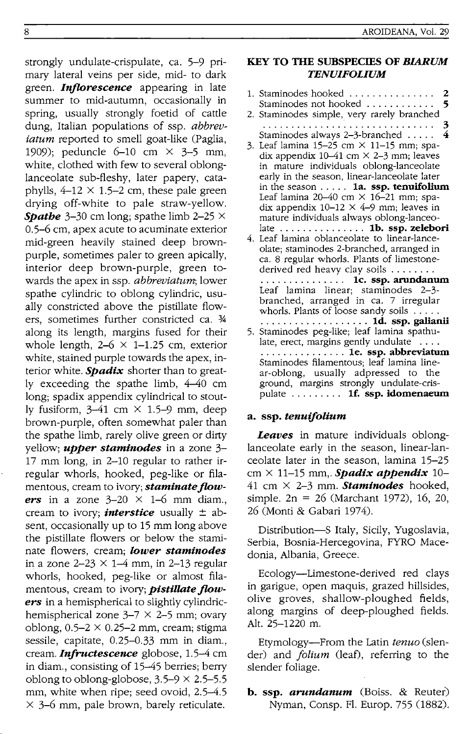strongly undulate-crispulate, ca. 5-9 primary lateral veins per side, mid- to dark green. *Inflorescence* appearing in late summer to mid-autumn, occasionally in spring, usually strongly foetid of cattle dung, Italian populations of ssp. *abbreviatum* reported to smell goat-like (Paglia, 1909); peduncle 6-10 cm  $\times$  3-5 mm, white, clothed with few to several oblonglanceolate sub-fleshy, later papery, cataphylls,  $4-12 \times 1.5-2$  cm, these pale green drying off-white to pale straw-yellow. **Spathe**  $3-30$  cm long; spathe limb  $2-25 \times$ 0.5-6 cm, apex acute to acuminate exterior mid-green heavily stained deep brownpurple, sometimes paler to green apically, interior deep brown-purple, green towards the apex in ssp. *abbreviatum;* lower spathe cylindric to oblong cylindric, usually constricted above the pistillate flowers, sometimes further constricted ca.  $\frac{3}{4}$ along its length, margins fused for their whole length,  $2-6 \times 1-1.25$  cm, exterior white, stained purple towards the apex, interior white. *Spadix* shorter than to greatly exceeding the spathe limb, 4-40 cm long; spadix appendix cylindrical to stoutly fusiform,  $3-41$  cm  $\times$  1.5-9 mm, deep brown-purple, often somewhat paler than the spathe limb, rarely olive green or dirty yellow; *upper staminodes* in a zone 3- 17 mm long, in 2-10 regular to rather irregular whorls, hooked, peg-like or filamentous, cream to ivory; *staminate flowers* in a zone  $3-20 \times 1-6$  mm diam., cream to ivory; *interstice* usually  $\pm$  absent, occasionally up to 15 mm long above the pistillate flowers or below the staminate flowers, cream; *lower staminodes*  in a zone  $2-23 \times 1-4$  mm, in 2-13 regular whorls, hooked, peg-like or almost filamentous, cream to ivory; *pistillate flowers* in a hemispherical to slightly cylindrichemispherical zone  $3-7 \times 2-5$  mm; ovary oblong,  $0.5-2 \times 0.25-2$  mm, cream; stigma sessile, capitate, 0.25-0.33 mm in diam., cream. *Infructescence* globose, 1.5-4 cm in diam., consisting of 15-45 berries; berry oblong to oblong-globose,  $3.5-9 \times 2.5-5.5$ mm, white when ripe; seed ovoid, 2.5-4.5  $\times$  3–6 mm, pale brown, barely reticulate.

# **KEY TO THE SUBSPECIES OF** *BIARUM TENUIFOLIUM*

- 1. Staminodes hooked ............. " 2 Staminodes not hooked . . . . . . . . . . . . 2. Staminodes simple, very rarely branched ............................... 3
- Staminodes always 2-3-branched ..... 4
- 3. Leaf lamina  $15-25$  cm  $\times$  11-15 mm; spadix appendix 10-41 cm  $\times$  2-3 mm; leaves in mature individuals oblong-lanceolate early in the season, linear-lanceolate later in the season . . . .. **la. ssp. tenuifolium**  Leaf lamina 20-40 cm  $\times$  16-21 mm; spadix appendix  $10-12 \times 4-9$  mm; leaves in mature individuals always oblong-lanceo-
- late . . . . . . . . . . . . . .. **lb. ssp. zelebori**  4. Leaf lamina oblanceolate to linear-lanceolate; staminodes 2-branched, arranged in ca. 8 regular whorls. Plants of limestonederived red heavy clay soils ........ · . . . . . . . . . . . . .. **Ie. ssp. arundanum**  Leaf lamina linear; staminodes 2-3 branched, arranged in ca. 7 irregular whorls. Plants of loose sandy soils ..... · . . . . . . . . . . . . . . . . . . **Id. ssp. gaIianii**  5. Staminodes peg-like; leaf lamina spathu-
- late, erect, margins gently undulate .... · . . . . . . . . . . . . . . **Ie. ssp. abbreviatum**  Staminodes filamentous; leaf lamina linear-oblong, usually adpressed to the ground, margins strongly undulate-crispulate ......... **If. ssp. idomenaeum**

# **a. ssp.** *tenuifolium*

*Leaves* in mature individuals oblonglanceolate early in the season, linear-Ianceolate later in the season, lamina 15-25 cm X 11-15 mm,. *Spadix appendix* 10- 41 cm X 2-3 mm. *Staminodes* hooked, simple. 2n = 26 (Marchant 1972), 16, 20, 26 (Monti & Gabari 1974).

Distribution-S Italy, Sicily, Yugoslavia, Serbia, Bosnia-Hercegovina, FYRO Macedonia, Albania, Greece.

Ecology-Limestone-derived red clays in garigue, open maquis, grazed hillsides, olive groves, shallow-ploughed fields, along margins of deep-ploughed fields. Alt. 25-1220 m.

Etymology-From the Latin *tenuo* (slender) and *folium* (leaf), referring to the slender foliage.

**b. ssp.** *arundanum* (Boiss. & Reuter) Nyman, Consp. Fl. Europ. 755 (1882).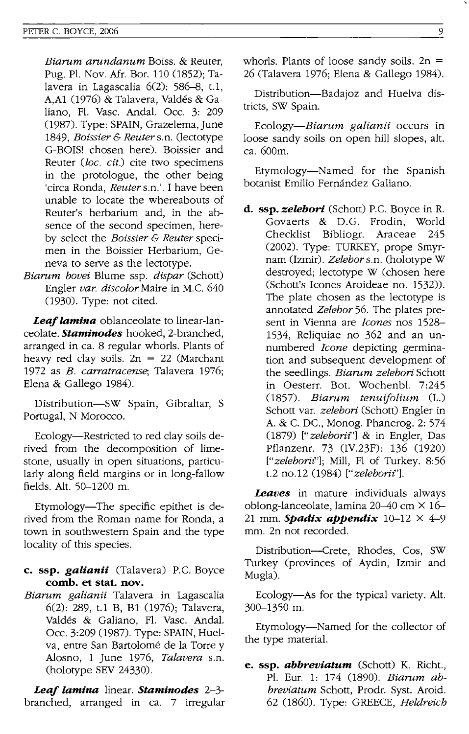*Biarum arundanum* Boiss. & Reuter, Pug. PI. Nov. Afr. Bor. 110 (1852); Talavera in Lagascalia 6(2): 586-8, t.1, A,Al (1976) & Talavera, Valdes & Galiano, Fl. Vasc. Andal. Occ. 3: 209 (1987). Type: SPAIN, Grazelema, June *1849, Boissier* & *Reuter* s.n. (lectotype G-BOIS! chosen here). Boissier and Reuter *(loc. cit.)* cite two specimens in the protologue, the other being 'circa Ronda, *Reuters.n.'.* I have been unable to locate the whereabouts of Reuter's herbarium and, in the absence of the second specimen, hereby select the *Boissier* & *Reuter* specimen in the Boissier Herbarium, Geneva to serve as the lectotype.

*Biarum bovei* Blume ssp. *dispar* (Schott) Engler var. discolor Maire in M.C. 640 (1930). Type: not cited.

**Leaf lamina** oblanceolate to linear-lanceolate. *Staminodes* hooked, 2-branched, arranged in ca. 8 regular whorls. Plants of heavy red clay soils.  $2n = 22$  (Marchant 1972 as *B. carratracense;* Talavera 1976; Elena & Gallego 1984).

Distribution-SW Spain, Gibraltar, S Portugal, N Morocco.

Ecology-Restricted to red clay soils derived from the decomposition of limestone, usually in open situations, particularly along field margins or in long-fallow fields. Alt. 50-1200 m.

Etymology-The specific epithet is derived from the Roman name for Ronda, a town in southwestern Spain and the type locality of this species.

- **c. ssp.** *galianii* (Talavera) P.C. Boyce **comb. et stat. nov.**
- *Biarum galianii* Talavera in Lagascalia 6(2): 289, t.1 B, Bl (1976); Talavera, Valdés & Galiano, Fl. Vasc. Andal. Occ. 3:209 (1987). Type: SPAIN, Huelva, entre San Bartolomé de la Torre y Alosno, 1 June 1976, *Talavera* s.n. (holotype SEV 24330).

*Leaf lamina* linear. *Staminodes 2-3* branched, arranged in ca. 7 irregular whorls. Plants of loose sandy soils.  $2n =$ 26 (Talavera 1976; Elena & Gallego 1984).

Distribution-Badajoz and Huelva districts, SW Spain.

*Ecology-Biarum galianii* occurs in loose sandy soils on open hill slopes, alt. ca.600m.

Etymology-Named for the Spanish botanist Emilio Fernández Galiano.

d. ssp. zelebori (Schott) P.C. Boyce in R. Govaerts & D.G. Frodin, World Checklist Bibliogr. Araceae 245 (2002). Type: TURKEY, prope Smyrnam (Izmir). *Zelebor* s.n. (holotype W destroyed; lectotype W (chosen here (Schott's Icones Aroideae no. 1532)). The plate chosen as the lectotype is annotated *Zelebor* 56. The plates present in Vienna are */cones* nos 1528- 1534, Reliquiae no 362 and an unnumbered */cone* depicting germination and subsequent development of the seedlings. *Biarum zelebori* Schott in Oesterr. Bot. Wochenbl. 7:245 *(1857). Biarum tenuifolium* (1.) Schott var. *zelebori* (Schott) Engler in A. & C. DC., Monog. Phanerog. 2: 574 *(1879)* ["zeleborii"] & in Engler, Das Pflanzenr. 73 (IY.23F): 136 (1920) *["zeleborif'l;* Mill, FI of Turkey. 8:56 t.2 no.12 (1984) *["zeleborif'l.* 

*Leaves* in mature individuals always oblong-Ianceolate, lamina 20-40 cm X 16- 21 mm. **Spadix appendix**  $10-12 \times 4-9$ mm. 2n not recorded.

Distribution-Crete, Rhodes, Cos, SW Turkey (provinces of Aydin, Izmir and Mugla).

Ecology-As for the typical variety. Alt. 300-1350 m.

Etymology-Named for the collector of the type material.

**e. ssp.** *abbreviatum* (Schott) K. Richt., PI. Eur. 1: 174 (1890). *Biarum abbreviatum* Schott, Prodr. Syst. Aroid. 62 (1860). Type: GREECE, *Heldreich*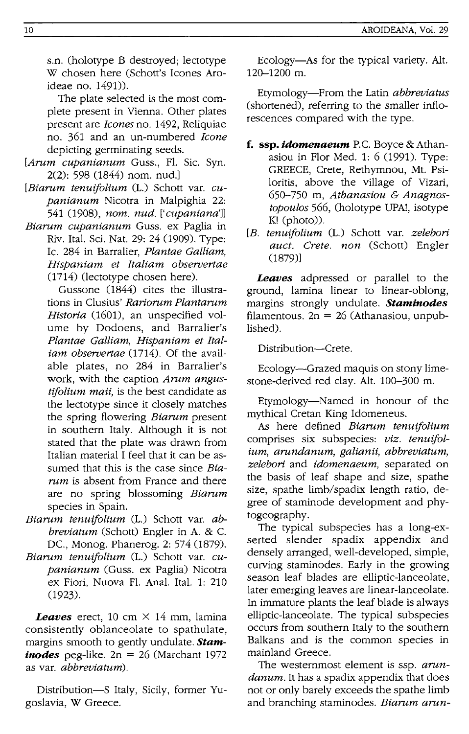s.n. (holotype B destroyed; lectotype W chosen here (Schott's Icones Aroideae no. 1491)).

The plate selected is the most complete present in Vienna. Other plates present are *leones* no. 1492, Reliquiae no. 361 and an un-numbered *leone*  depicting germinating seeds.

- *[Arum eupanianum* Guss., Fl. Sic. Syn. 2(2): 598 (1844) nom. nud.]
- *[Biarum tenuifolium* (1.) Schott var. *eupanianum* Nicotra in Malpighia 22: 541 (1908), *nom. nud. ['eupaniana']]*
- *Biarum eupanianum* Guss. ex Paglia in Riv. Ital. Sci. Nat. 29: 24 (1909). Type: Ie. 284 in Barralier, *Plantae Galliam, Hispaniam et ltaliam observertae*  (1714) (lectotype chosen here).

Gussone (1844) cites the illustrations in Clusius' *Rariorum Plantarum Historia* (1601), an unspecified volume by Dodoens, and Barralier's *Plantae Galliam, Hispaniam et ltaliam observertae* (1714). Of the available plates, no 284 in Barralier's work, with the caption *Arum angustifolium maii,* is the best candidate as the lectotype since it closely matches the spring flowering *Biarum* present in southern Italy. Although it is not stated that the plate was drawn from Italian material I feel that it can be assumed that this is the case since *Biarum* is absent from France and there are no spring blossoming *Biarum*  species in Spain.

- *Biarum tenuifolium* (1.) Schott var. *abbreviatum* (Schott) Engler in A. & c. DC., Monog. Phanerog. 2: 574 (1879).
- *Biarum tenuifolium* (1.) Schott var. *eupanianum* (Guss. ex Paglia) Nicotra ex Fiori, Nuova Fl. Anal. ltal. 1: 210 (1923).

**Leaves** erect, 10 cm  $\times$  14 mm, lamina consistently oblanceolate to spathulate, margins smooth to gently undulate. *Staminodes* peg-like. 2n = 26 (Marchant 1972 as var. *abbreviatum).* 

Distribution-S Italy, Sicily, former Yugoslavia, W Greece.

Ecology-As for the typical variety. Alt. 120-1200 m.

Etymology-From the Latin *abbreviatus*  (shortened), referring to the smaller inflorescences compared with the type.

- **f. ssp.** *idomenaeum* P.C. Boyce & Athanasiou in Flor Med. 1: 6 (1991). Type: GREECE, Crete, Rethyrnnou, Mt. Psiloritis, above the village of Vizari, 650-750 m, *Atbanasiou* & *Anagnos*topoulos 566, (holotype UPA!, isotype K! (photo)).
- *[B. tenuifolium* (L.) Schott var. *zelebori auet. Crete. non* (Schott) Engler (1879)]

*Leaves* adpressed or parallel to the ground, lamina linear to linear-oblong, margins strongly undulate. *Staminodes*  filamentous.  $2n = 26$  (Athanasiou, unpublished).

Distribution-Crete.

Ecology-Grazed maquis on stony limestone-derived red clay. Alt. 100-300 m.

Etymology-Named in honour of the mythical Cretan King Idomeneus.

As here defined *Biarum tenuifolium*  comprises six subspecies: *viz. tenuifolium, arundanum, galianii, abbreviatum, zelebori* and *idomenaeum,* separated on the basis of leaf shape and size, spathe size, spathe limb/spadix length ratio, degree of staminode development and phytogeography.

The typical subspecies has a long-exserted slender spadix appendix and densely arranged, well-developed, simple, curving staminodes. Early in the growing season leaf blades are elliptic-Ianceolate, later emerging leaves are linear-Ianceolate. In immature plants the leaf blade is always elliptic-Ianceolate. The typical subspecies occurs from southern Italy to the southern Balkans and is the common species in mainland Greece.

The westernmost element is ssp. *arundanum.* It has a spadix appendix that does not or only barely exceeds the spathe limb and branching staminodes. *Biarum arun-*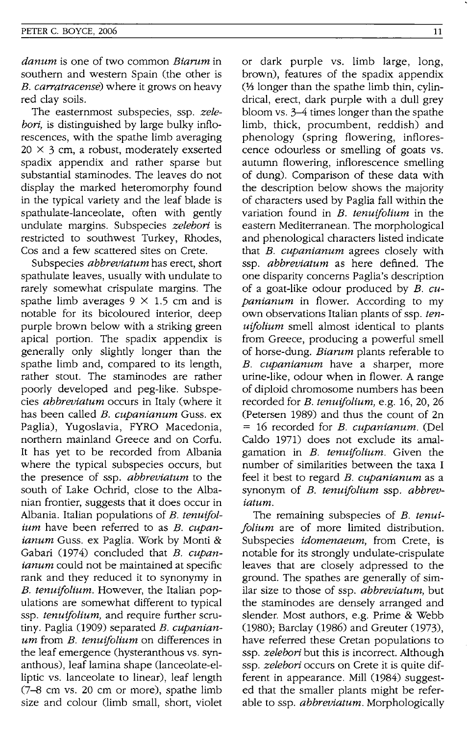*danum* is one of two common *Biarum* in southern and western Spain (the other is *B. carratracense)* where it grows on heavy red clay soils.

The easternmost subspecies, ssp. *zelebori*, is distinguished by large bulky inflorescences, with the spathe limb averaging  $20 \times 3$  cm, a robust, moderately exserted spadix appendix and rather sparse but substantial staminodes. The leaves do not display the marked heteromorphy found in the typical variety and the leaf blade is spathulate-Ianceolate, often with gently undulate margins. Subspecies *zelebori* is restricted to southwest Turkey, Rhodes, Cos and a few scattered sites on Crete.

Subspecies *abbreviatum* has erect, short spathulate leaves, usually with undulate to rarely somewhat crispulate margins. The spathe limb averages  $9 \times 1.5$  cm and is notable for its bicoloured interior, deep purple brown below with a striking green apical portion. The spadix appendix is generally only slightly longer than the spathe limb and, compared to its length, rather stout. The staminodes are rather poorly developed and peg-like. Subspecies *abbreviatum* occurs in Italy (where it has been called *B. cupanianum* Guss. ex Paglia), Yugoslavia, FYRO Macedonia, northern mainland Greece and on Corfu. It has yet to be recorded from Albania where the typical subspecies occurs, but the presence of ssp. *abbreviatum* to the south of Lake Ochrid, close to the Albanian frontier, suggests that it does occur in Albania. Italian populations of *B. tenuifolium* have been referred to as *B. cupanianum* Guss. ex Paglia. Work by Monti & Gabari (1974) concluded that *B. cupanianum* could not be maintained at specific rank and they reduced it to synonymy in *B. tenuifolium.* However, the Italian populations are somewhat different to typical ssp. *tenuifolium,* and require further scrutiny. Paglia (909) separated *B. cupanianum* from *B. tenuifolium* on differences in the leaf emergence (hysteranthous vs. synanthous), leaf lamina shape (lanceolate-elliptic vs. lanceolate to linear), leaf length (7-8 cm vs. 20 cm or more), spathe limb size and colour (limb small, short, violet

or dark purple vs. limb large, long, brown), features of the spadix appendix (<sup>1</sup>/<sub>3</sub> longer than the spathe limb thin, cylindrical, erect, dark purple with a dull grey bloom vs. 3-4 times longer than the spathe limb, thick, procumbent, reddish) and phenology (spring flowering, inflorescence odourless or smelling of goats vs. autumn flowering, inflorescence smelling of dung). Comparison of these data with the description below shows the majority of characters used by Paglia fall within the variation found in *B. tenuifolium* in the eastern Mediterranean. The morphological and phenological characters listed indicate that *B. cupanianum* agrees closely with ssp. *abbreviatum* as here defined. The one disparity concerns Paglia's description of a goat-like odour produced by *B. cupanianum* in flower. According to my own observations Italian plants of ssp. *tenuifolium* smell almost identical to plants from Greece, producing a powerful smell of horse-dung. *Biarum* plants referable to *B. cupanianum* have a sharper, more urine-like, odour when in flower. A range of diploid chromosome numbers has been recorded for *B. tenuifolium,* e.g. 16, 20, 26 (Petersen 1989) and thus the count of 2n = 16 recorded for *B. cupanianum.* (Del Caldo 1971) does not exclude its amalgamation in *B. tenuifolium.* Given the number of similarities between the taxa I feel it best to regard *B. cupanianum* as a synonym of *B. tenuifolium* ssp. *abbreviatum.* 

The remaining subspecies of *B. tenuifolium* are of more limited distribution. Subspecies *idomenaeum,* from Crete, is notable for its strongly undulate-crispulate leaves that are closely adpressed to the ground. The spathes are generally of similar size to those of ssp. *abbreviatum,* but the staminodes are densely arranged and slender. Most authors, e.g. Prime & Webb (1980); Barclay (1986) and Greuter (1973), have referred these Cretan populations to ssp. *zelebori* but this is incorrect. Although ssp. *zelebori* occurs on Crete it is quite different in appearance. Mill (1984) suggested that the smaller plants might be referable to ssp. *abbreviatum.* Morphologically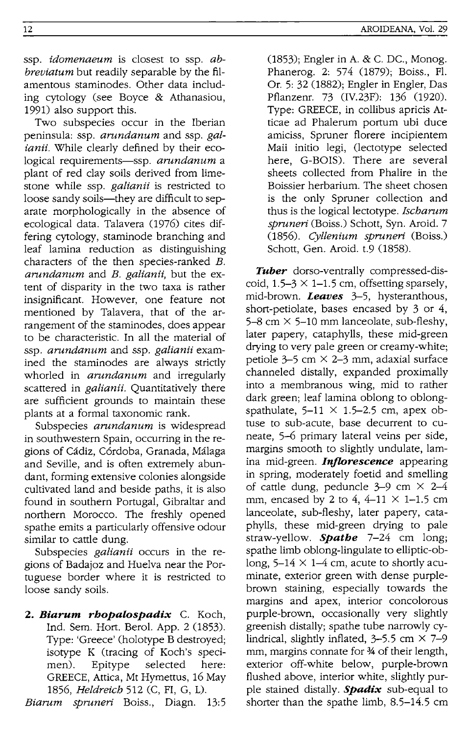ssp. *idomenaeum* is closest to ssp. *abbreviatum* but readily separable by the filamentous staminodes. Other data including cytology (see Boyce & Athanasiou, 1991) also support this.

Two subspecies occur in the Iberian peninsula: ssp. *arundanum* and ssp. *galianii.* While clearly defined by their ecological requirements-ssp. *arundanum* a plant of red clay soils derived from limestone while ssp. *galianii* is restricted to loose sandy soils-they are difficult to separate morphologically in the absence of ecological data. Talavera (1976) cites differing cytology, staminode branching and leaf lamina reduction as distinguishing characters of the then species-ranked *B. arundanum* and *B. galianii,* but the extent of disparity in the two taxa is rather insignificant. However, one feature not mentioned by Talavera, that of the arrangement of the staminodes, does appear to be characteristic. In all the material of ssp. *arundanum* and ssp. *galianii* examined the staminodes are always strictly whorled in *arundanum* and irregularly scattered in *galianii.* Quantitatively there are sufficient grounds to maintain these plants at a formal taxonomic rank.

Subspecies *arundanum* is widespread in southwestern Spain, occurring in the regions of Cadiz, C6rdoba, Granada, Malaga and Seville, and is often extremely abundant, forming extensive colonies alongside cultivated land and beside paths, it is also found in southern Portugal, Gibraltar and northern Morocco. The freshly opened spathe emits a particularly offensive odour similar to cattle dung.

Subspecies *galianii* occurs in the regions of Badajoz and Huelva near the Portuguese border where it is restricted to loose sandy soils.

*2. Biarum rhopalospadix* C. Koch, Ind. Sem. Hort. BeroI. App. 2 (1853). Type: 'Greece' (holotype B destroyed; isotype K (tracing of Koch's specimen). Epitype selected here: GREECE, Attica, Mt Hymettus, 16 May *1856, Heldreich* 512 (C, FI, G, L).

*Biarum spruneri* Boiss., Diagn. 13:5

(1853); Engler in A. & C. DC., Monog. Phanerog. 2: 574 (1879); Boiss., FI. Or. 5: 32 (1882); Engler in Engler, Das Pflanzenr. 73 (IV.23F): 136 (1920). Type: GREECE, in collibus apricis Atticae ad Phalerum portum ubi duce amiciss, Spruner florere incipientem Maii initio legi, (lectotype selected here, G-BOIS). There are several sheets collected from Phalire in the Boissier herbarium. The sheet chosen is the only Spruner collection and thus is the logical lectotype. *Ischarum spruneri* (Boiss.) Schott, Syn. Aroid. 7 *(1856). Cyllenium spruneri* (Boiss.) Schott, Gen. Aroid. t.9 (1858).

*Tuber* dorso-ventrally compressed-discoid,  $1.5-3 \times 1-1.5$  cm, offsetting sparsely, mid-brown. *Leaves* 3-5, hysteranthous, short-petiolate, bases encased by 3 or 4, 5-8 cm  $\times$  5-10 mm lanceolate, sub-fleshy, later papery, cataphylls, these mid-green drying to very pale green or creamy-white; petiole  $3-5$  cm  $\times$  2-3 mm, adaxial surface channeled distally, expanded proximally into a membranous wing, mid to rather dark green; leaf lamina oblong to oblongspathulate,  $5-11 \times 1.5-2.5$  cm, apex obtuse to sub-acute, base decurrent to cuneate, 5-6 primary lateral veins per side, margins smooth to slightly undulate, lamina mid-green. *Inflorescence* appearing in spring, moderately foetid and smelling of cattle dung, peduncle  $3-9$  cm  $\times$  2-4 mm, encased by 2 to 4,  $4-11 \times 1-1.5$  cm lanceolate, sub-fleshy, later papery, cataphylls, these mid-green drying to pale straw-yellow. *Spathe* 7-24 cm long; spathe limb oblong-lingulate to elliptic-oblong,  $5-14 \times 1-4$  cm, acute to shortly acuminate, exterior green with dense purplebrown staining, especially towards the margins and apex, interior concolorous purple-brown, occasionally very slightly greenish distally; spathe tube narrowly cylindrical, slightly inflated,  $3-5.5$  cm  $\times$  7-9 mm, margins connate for 34 of their length, exterior off-white below, purple-brown flushed above, interior white, slightly purple stained distally. *Spadix* sub-equal to shorter than the spathe limb, 8.5-14.5 cm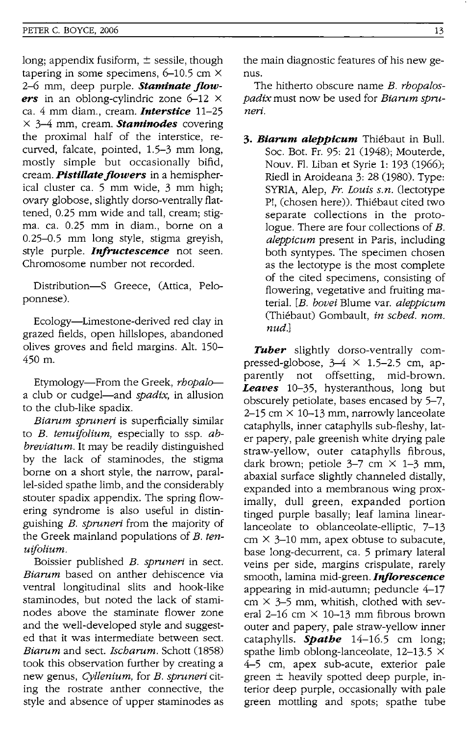long; appendix fusiform,  $\pm$  sessile, though tapering in some specimens,  $6-10.5$  cm  $\times$ 2-6 mm, deep purple. *Staminate flowers* in an oblong-cylindric zone 6-12 X ca. 4 mm diam., cream. *Interstice 11-25*  X 3-4 mm, cream. *Staminodes* covering the proximal half of the interstice, recurved, falcate, pointed, 1.5-3 mm long, mostly simple but occasionally bifid, cream. *Pistillate flowers* in a hemispherical cluster ca. 5 mm wide, 3 mm high; ovary globose, slightly dorso-ventrally flattened, 0.25 mm wide and tall, cream; stigma. ca. 0.25 mm in diam., borne on a 0.25-0.5 mm long style, stigma greyish, style purple. *Infructescence* not seen. Chromosome number not recorded.

Distribution-S Greece, (Attica, Peloponnese).

Ecology-Limestone-derived red clay in grazed fields, open hillslopes, abandoned olives groves and field margins. Alt. 150- 450 m.

Etymology-From the Greek, *rhopalo*a club or cudgel-and *spadix,* in allusion to the club-like spadix.

*Biarum spruneri* is superficially similar to *B. tenuijolium,* especially to ssp. *abbreviatum.* It may be readily distinguished by the lack of staminodes, the stigma borne on a short style, the narrow, parallel-sided spathe limb, and the considerably stouter spadix appendix. The spring flowering syndrome is also useful in distinguishing *B. spruneri* from the majority of the Greek mainland populations of *B. tenuijolium.* 

Boissier published *B. spruneri* in sect. *Biarum* based on anther dehiscence via ventral longitudinal slits and hook-like staminodes, but noted the lack of staminodes above the staminate flower zone and the well-developed style and suggested that it was intermediate between sect. *Biarum* and sect. *Ischarum.* Schott (1858) took this observation further by creating a new genus, *Cyllenium,* for *B. spruneri* citing the rostrate anther connective, the style and absence of upper staminodes as the main diagnostic features of his new genus.

The hitherto obscure name *B. rhopalospadix* must now be used for *Biarum spruneri.* 

*3. Biarum aleppicum* Thiebaut in Bull. Soc. Bot. Fr. 95: 21 (1948); Mouterde, Nouv. FI. Liban et Syrie 1: 193 (1966); Riedl in Aroideana 3: 28 (1980). Type: SYRIA, Alep, *Fr. Louis s.n.* (lectotype P!, (chosen here)). Thiebaut cited two separate collections in the protologue. There are four collections of *B. aleppicum* present in Paris, including both syntypes. The specimen chosen as the lectotype is the most complete of the cited specimens, consisting of flowering, vegetative and fruiting material. *[B. bovei* Blume var. *aleppicum*  (Thiebaut) Gombault, *in sched. nom. nud.l* 

*Tuber* slightly dorso-ventrally compressed-globose,  $3-4 \times 1.5-2.5$  cm, apparently not offsetting, mid-brown. *Leaves* 10-35, hysteranthous, long but obscurely petiolate, bases encased by 5-7,  $2-15$  cm  $\times$  10-13 mm, narrowly lanceolate cataphylls, inner cataphylls sub-fleshy, later papery, pale greenish white drying pale straw-yellow, outer cataphylls fibrous, dark brown; petiole  $3-7$  cm  $\times$  1-3 mm, abaxial surface slightly channeled distally, expanded into a membranous wing proximally, dull green, expanded portion tinged purple basally; leaf lamina linearlanceolate to oblanceolate-elliptic, 7-13 cm  $\times$  3–10 mm, apex obtuse to subacute, base long-decurrent, ca. 5 primary lateral veins per side, margins crispulate, rarely smooth, lamina mid-green. *Inflorescence*  appearing in mid-autumn; peduncle 4-17 cm  $\times$  3-5 mm, whitish, clothed with several 2-16 cm  $\times$  10-13 mm fibrous brown outer and papery, pale straw-yellow inner cataphylls. *Spathe* 14-16.5 cm long; spathe limb oblong-lanceolate,  $12-13.5 \times$ 4-5 cm, apex sub-acute, exterior pale green  $\pm$  heavily spotted deep purple, interior deep purple, occasionally with pale green mottling and spots; spathe tube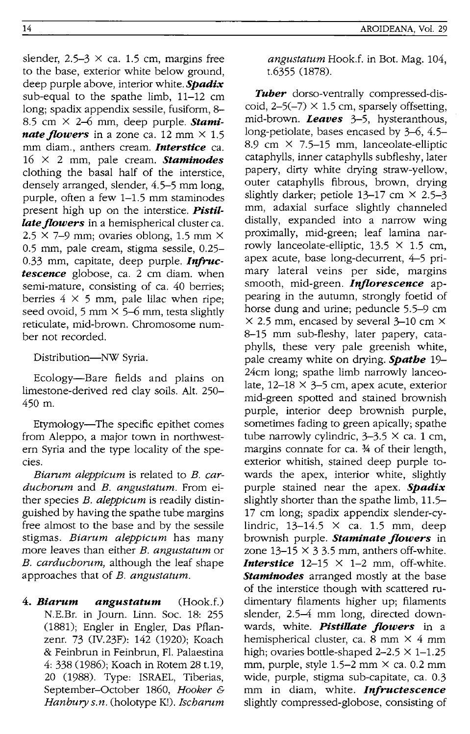slender,  $2.5-3 \times$  ca. 1.5 cm, margins free to the base, exterior white below ground, deep purple above, interior white. *Spadix*  sub-equal to the spathe limb, 11-12 cm long; spadix appendix sessile, fusiform, 8-  $8.5 \text{ cm} \times 2 - 6 \text{ mm}$ , deep purple. **Stami***nate flowers* in a zone ca. 12 mm  $\times$  1.5 mm diam., anthers cream. *Interstice* ca. 16 X 2 mm, pale cream. *Staminodes*  clothing the basal half of the interstice, densely arranged, slender, 4.5-5 mm long, purple, often a few 1-1.5 mm staminodes present high up on the interstice. *Pistillate flowers* in a hemispherical cluster ca. 2.5  $\times$  7–9 mm; ovaries oblong, 1.5 mm  $\times$ 0.5 mm, pale cream, stigma sessile, 0.25- 0.33 mm, capitate, deep purple. **Infruc***tescence* globose, ca. 2 cm diam. when semi-mature, consisting of ca. 40 berries; berries  $4 \times 5$  mm, pale lilac when ripe; seed ovoid, 5 mm  $\times$  5–6 mm, testa slightly reticulate, mid-brown. Chromosome number not recorded.

Distribution-NW Syria.

Ecology-Bare fields and plains on limestone-derived red clay soils. Alt. 250- 450 m.

Etymology-The specific epithet comes from Aleppo, a major town in northwestern Syria and the type locality of the species.

*Biarum aleppicum* is related to *B. carducborum* and *B. angustatum.* From either species *B. aleppicum* is readily distinguished by having the spathe tube margins free almost to the base and by the sessile stigmas. *Biarum aleppicum* has many more leaves than either *B. angustatum* or *B. carducborum,* although the leaf shape approaches that of *B. angustatum.* 

*4. Biarum angustatum* (Hook.f.) N.E.Br. in Journ. Linn. Soc. 18: 255 (1881); Engler in Engler, Das Pflanzenr. 73 *(N.23F):* 142 (1920); Koach & Feinbrun in Feinbrun, FI. Palaestina 4: 338 (1986); Koach in Rotem 28 t.19, 20 (1988). Type: ISRAEL, Tiberias, September-October 1860, *Hooker* & *Hanbury s.n.* (holotype K!). *Iscbarum* 

*angustatum* Hook.f. in Bot. Mag. 104, t.6355 (1878).

*Tuber* dorso-ventrally compressed-discoid,  $2-5(-7) \times 1.5$  cm, sparsely offsetting, mid-brown. *Leaves* 3-5, hysteranthous, long-petiolate, bases encased by 3-6, 4.5- 8.9 cm  $\times$  7.5-15 mm, lanceolate-elliptic cataphylls, inner cataphylls subfleshy, later papery, dirty white drying straw-yellow, outer cataphylls fibrous, brown, drying slightly darker; petiole 13–17 cm  $\times$  2.5–3 mm, adaxial surface slightly channeled distally, expanded into a narrow wing proximally, mid-green; leaf lamina narrowly lanceolate-elliptic,  $13.5 \times 1.5$  cm, apex acute, base long-decurrent, 4-5 primary lateral veins per side, margins smooth, mid-green. *Inflorescence* appearing in the autumn, strongly foetid of horse dung and urine; peduncle 5.5-9 cm  $\times$  2.5 mm, encased by several 3–10 cm  $\times$ 8-15 mm sub-fleshy, later papery, cataphylls, these very pale greenish white, pale creamy white on drying. *Spathe* 19- 24cm long; spathe limb narrowly lanceolate,  $12-18 \times 3-5$  cm, apex acute, exterior mid-green spotted and stained brownish purple, interior deep brownish purple, sometimes fading to green apically; spathe tube narrowly cylindric,  $3-3.5 \times$  ca. 1 cm, margins connate for ca.  $\frac{3}{4}$  of their length, exterior whitish, stained deep purple towards the apex, interior white, slightly purple stained near the apex. *Spadix*  slightly shorter than the spathe limb, 11.5- 17 cm long; spadix appendix slender-cylindric,  $13-14.5 \times$  ca. 1.5 mm, deep brownish purple. *Staminate flowers* in zone  $13-15 \times 33.5$  mm, anthers off-white. *Interstice*  $12-15 \times 1-2$  mm, off-white. *Staminodes* arranged mostly at the base of the interstice though with scattered rudimentary filaments higher up; filaments slender, 2.5-4 mm long, directed downwards, white. *PistiUate flowers* in a hemispherical cluster, ca. 8 mm  $\times$  4 mm high; ovaries bottle-shaped  $2-2.5 \times 1-1.25$ mm, purple, style  $1.5-2$  mm  $\times$  ca. 0.2 mm wide, purple, stigma sub-capitate, ca. 0.3 mm in diam, white. *Infructescence*  slightly compressed-globose, consisting of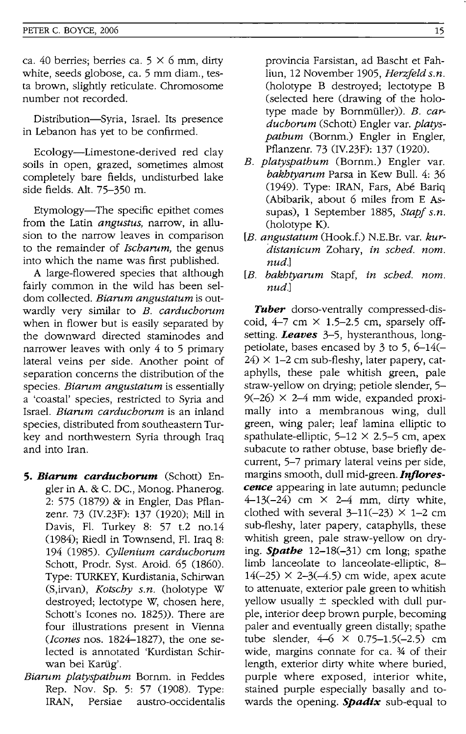ca. 40 berries; berries ca.  $5 \times 6$  mm, dirty white, seeds globose, ca. 5 mm diam., testa brown, slightly reticulate. Chromosome number not recorded.

Distribution-Syria, Israel. Its presence in Lebanon has yet to be confirmed.

Ecology-Limestone-derived red clay soils in open, grazed, sometimes almost completely bare fields, undisturbed lake side fields. Alt. 75-350 m.

Etymology-The specific epithet comes from the Latin *angustus,* narrow, in allusion to the narrow leaves in comparison to the remainder of *Ischarum*, the genus into which the name was first published.

A large-flowered species that although fairly common in the wild has been seldom collected. *Biarnm angustatum* is outwardly very similar to *B. carduchorum* when in flower but is easily separated by the downward directed staminodes and narrower leaves with only 4 to 5 primary lateral veins per side. Another point of separation concerns the distribution of the species. *Biarum angustatum* is essentially a 'coastal' species, restricted to Syria and Israel. *Biarum carduchorum* is an inland species, distributed from southeastern Turkey and northwestern Syria through Iraq and into Iran.

- *5. Biarum carduchorum* (Schott) Engler in A. & C. DC., Monog. Phanerog. 2: 575 (1879) & in Engler, Das Pflanzenr. 73 (IY.23F): 137 (1920); Mill in Davis, Fl. Turkey 8: 57 t.2 no.14 (1984); Riedl in Townsend, Fl. Iraq 8: 194 (1985). Cyllenium carduchorum Schott, Prodr. Syst. Aroid. 65 (1860). Type: TURKEY, Kurdistania, Schirwan (S, irvan), *Kotschy s.n.* (holotype W destroyed; lectotype W, chosen here, Schott's Icones no. 1825)). There are four illustrations present in Vienna *(leones* nos. 1824-1827), the one selected is annotated 'Kurdistan Schirwan bei Kariig'.
- *Biarnm platyspathum* Bornm. in Feddes Rep. Nov. Sp. 5: 57 (1908). Type: IRAN, Persiae austro-occidentalis

provincia Farsistan, ad Bascht et Fahliun, 12 November 1905, *Herzfeld s.n.*  (holotype B destroyed; lectotype B (selected here (drawing of the holotype made by Bornmüller)). *B. carduchornm* (Schott) Engler var. *platyspathum* (Bornm.) Engler in Engler, Pflanzenr. 73 *(N.23F):* 137 (1920).

- *B. platyspathum* (Bornm.) Engler var. *bakhtyarnm* Parsa in Kew Bull. 4: 36 (1949). Type: IRAN, Fars, Abe Bariq (Abibarik, about 6 miles from E Assupas), 1 September 1885, *Stapf s.n.*  (holotype K).
- *[B. angustatum* (Hook.f.) N.E.Br. var. *kurdistanicum* Zohary, *in sched. nom. nud.l*
- [B. bakhtyarum Stapf, in sched. nom. *nud.l*

**Tuber** dorso-ventrally compressed-discoid,  $4-7$  cm  $\times$  1.5-2.5 cm, sparsely offsetting. *Leaves* 3-5, hysteranthous, longpetiolate, bases encased by 3 to 5, 6-14(-  $24 \times 1 - 2$  cm sub-fleshy, later papery, cataphylls, these pale whitish green, pale straw-yellow on drying; petiole slender, 5-  $9(-26) \times 2-4$  mm wide, expanded proximally into a membranous wing, dull green, wing paler; leaf lamina elliptic to spathulate-elliptic,  $5-12 \times 2.5-5$  cm, apex subacute to rather obtuse, base briefly decurrent, 5-7 primary lateral veins per side, margins smooth, dull mid-green. *Inflorescence* appearing in late autumn; peduncle  $4-13(-24)$  cm  $\times$  2-4 mm, dirty white, clothed with several  $3-11(-23) \times 1-2$  cm sub-fleshy, later papery, cataphylls, these whitish green, pale straw-yellow on drying. *Spathe* 12-18(-31) cm long; spathe limb lanceolate to lanceolate-elliptic, 8- $14(-25) \times 2 - 3(-4.5)$  cm wide, apex acute to attenuate, exterior pale green to whitish yellow usually  $\pm$  speckled with dull purple, interior deep brown purple, becoming paler and eventually green distally; spathe tube slender,  $4-6 \times 0.75-1.5(-2.5)$  cm wide, margins connate for ca. 34 of their length, exterior dirty white where buried, purple where exposed, interior white, stained purple especially basally and towards the opening. *Spadix* sub-equal to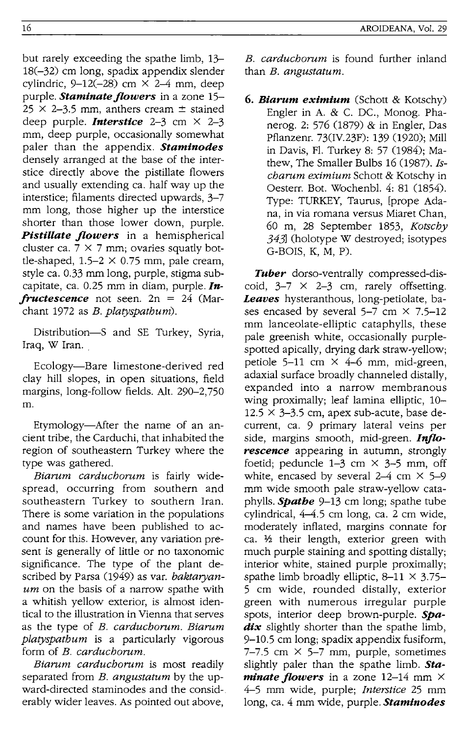but rarely exceeding the spathe limb, 13- 18(-32) cm long, spadix appendix slender cylindric,  $9-12(-28)$  cm  $\times$  2-4 mm, deep purple. *Staminate flowers* in a zone 15-  $25 \times 2 - 3.5$  mm, anthers cream  $\pm$  stained deep purple. *Interstice* 2-3 cm X 2-3 mm, deep purple, occasionally somewhat paler than the appendix. *Staminodes*  densely arranged at the base of the interstice directly above the pistillate flowers and usually extending ca. half way up the interstice; filaments directed upwards, 3-7 mm long, those higher up the interstice shorter than those lower down, purple. *Pistillate flowers* in a hemispherical cluster ca.  $7 \times 7$  mm; ovaries squatly bottle-shaped,  $1.5-2 \times 0.75$  mm, pale cream, style ca. 0.33 mm long, purple, stigma subcapitate, ca. 0.25 mm in diam, purple. *Infructescence* not seen. 2n = 24 (Marchant 1972 as *B. platyspathum).* 

Distribution-S and SE Turkey, Syria, Iraq, W Iran.

Ecology-Bare limestone-derived red clay hill slopes, in open situations, field margins, long-follow fields. Alt. 290-2,750 m.

Etymology-After the name of an ancient tribe, the Carduchi, that inhabited the region of southeastern Turkey where the type was gathered.

*Biarum carduchorum* is fairly widespread, occurring from southern and southeastern Turkey to southern Iran. There is some variation in the populations and names have been published to account for this. However, any variation present is generally of little or no taxonomic significance. The type of the plant described by Parsa (1949) as var. *baktaryanum* on the basis of a narrow spathe with a whitish yellow exterior, is almost identical to the illustration in Vienna that serves as the type of *B. carduchorum. Biarum platyspathum* is a particularly vigorous form of *B. carduchorum.* 

*Biarum carduchorum* is most readily separated from *B. angustatum* by the upward-directed staminodes and the consid-. erably wider leaves. As pointed out above,

*B. carduchorum* is found further inland than *B. angustatum.* 

*6. Biarum eximium* (Schott & Kotschy) Engler in A. & C. DC., Monog. Phanerog. 2: 576 (1879) & in Engler, Das Pflanzenr. 73(IV.23F): 139 (1920); Mill in Davis, FI. Turkey 8: 57 (1984); Mathew, The Smaller Bulbs 16 (1987). *Ischarum eximium* Schott & Kotschy in Oesterr. Bot. Wochenbl. 4: 81 (1854). Type: TURKEY, Taurus, [prope Adana, in via romana versus Miaret Chan, 60 m, 28 September 1853, *Kotschy*  3431 (holotype W destroyed; isotypes G-BOIS, K, M, P).

*Tuber* dorso-ventrally compressed-discoid,  $3-7 \times 2-3$  cm, rarely offsetting. *Leaves* hysteranthous, long-petiolate, bases encased by several  $5-\overline{7}$  cm  $\times$  7.5-12 mm lanceolate-elliptic cataphylls, these pale greenish white, occasionally purplespotted apically, drying dark straw-yellow; petiole 5-11 cm  $\times$  4-6 mm, mid-green, adaxial surface broadly channeled distally, expanded into a narrow membranous wing proximally; leaf lamina elliptic, 10-  $12.5 \times 3 - 3.5$  cm, apex sub-acute, base decurrent, ca. 9 primary lateral veins per side, margins smooth, mid-green. *Inflorescence* appearing in autumn, strongly foetid; peduncle  $1-3$  cm  $\times$   $3-5$  mm, off white, encased by several  $2-4$  cm  $\times$  5-9 mm wide smooth pale straw-yellow cataphylls. *Spathe* 9-13 cm long; spathe tube cylindrical, 4-4.5 cm long, ca. 2 cm wide, moderately inflated, margins connate for ca. *V*<sub>2</sub> their length, exterior green with much purple staining and spotting distally; interior white, stained purple proximally; spathe limb broadly elliptic,  $8-11 \times 3.75-$ 5 cm wide, rounded distally, exterior green with numerous irregular purple spots, interior deep brown-purple. *Spadix* slightly shorter than the spathe limb, 9-10.5 cm long; spadix appendix fusiform, 7-7.5 cm  $\times$  5-7 mm, purple, sometimes slightly paler than the spathe limb. *Staminate flowers* in a zone 12–14 mm  $\times$ 4-5 mm wide, purple; *Interstice* 25 mm long, ca. 4 mm wide, purple. *Staminodes*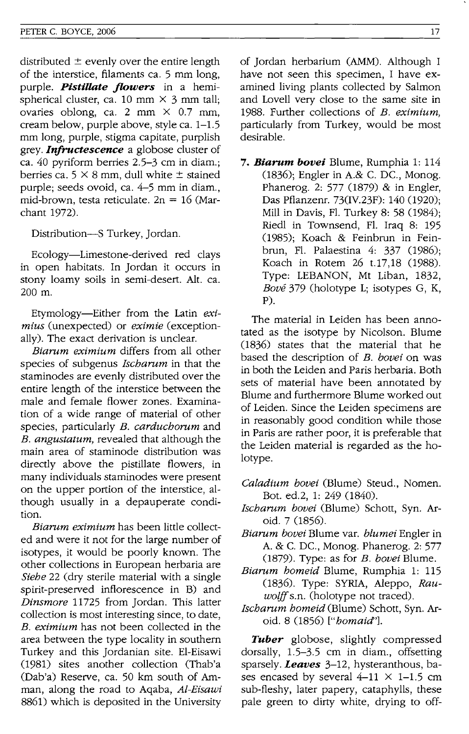distributed  $\pm$  evenly over the entire length of the interstice, filaments ca. 5 mm long, purple. *Pistillate flowers* in a hemispherical cluster, ca. 10 mm  $\times$  3 mm tall; ovaries oblong, ca. 2 mm  $\times$  0.7 mm, cream below, purple above, style ca. 1-1.5 mm long, purple, stigma capitate, purplish grey. *Infructescence* a globose cluster of ca. 40 pyriform berries 2.5-3 cm in diam.; berries ca. 5  $\times$  8 mm, dull white  $\pm$  stained purple; seeds ovoid, ca. 4-5 mm in diam., mid-brown, testa reticulate.  $2n = 16$  (Marchant 1972).

Distribution-S Turkey, Jordan.

Ecology-limestone-derived red clays in open habitats. In Jordan it occurs in stony loamy soils in semi-desert. Alt. ca. 200 m.

Etymology-Either from the Latin *eximius* (unexpected) or *eximie* (exceptionally). The exact derivation is unclear.

*Biarum eximium* differs from all other species of subgenus *Ischarum* in that the staminodes are evenly distributed over the entire length of the interstice between the male and female flower zones. Examination of a wide range of material of other species, particularly *B. carduchorum* and *B. angustatum,* revealed that although the main area of staminode distribution was directly above the pistillate flowers, in many individuals staminodes were present on the upper portion of the interstice, although usually in a depauperate condition.

*Biarum eximium* has been little collected and were it not for the large number of isotypes, it would be poorly known. The other collections in European herbaria are *Siehe* 22 (dry sterile material with a single spirit-preserved inflorescence in B) and *Dinsmore* 11725 from Jordan. This latter collection is most interesting since, to date, *B. eximium* has not been collected in the area between the type locality in southern Turkey and this Jordanian site. El-Eisawi (1981) sites another collection (Thab'a (Dab'a) Reserve, ca. 50 km south of Amman, along the road to Aqaba, Al-Eisawi 8861) which is deposited in the University

of Jordan herbarium (AMM). Although I have not seen this specimen, I have examined living plants collected by Salmon and Lovell very close to the same site in 1988. Further collections of *B. eximium,*  particularly from Turkey, would be most desirable.

*7. Biarum bovei* Blume, Rumphia 1: 114 (1836); Engler in A.& C. DC., Monog. Phanerog. 2: 577 (1879) & in Engler, Das Pflanzenr. 73(IV.23F): 140 (1920); Mill in Davis, Fl. Turkey 8: 58 (1984); Riedl in Townsend, Fl. Iraq 8: 195 (1985); Koach & Feinbrun in Feinbrun, Fl. Palaestina 4: 337 (1986); Koach in Rotem 26 t.17,18 (1988). Type: LEBANON, Mt liban, 1832, *Bove* 379 (holotype L; isotypes G, K, P).

The material in Leiden has been annotated as the isotype by Nicolson. Blume (1836) states that the material that he based the description of *B. bovei* on was in both the Leiden and Paris herbaria. Both sets of material have been annotated by Blume and furthermore Blume worked out of Leiden. Since the Leiden specimens are in reasonably good condition while those in Paris are rather poor, it is preferable that the Leiden material is regarded as the holotype.

- *Caladium bovei* (Blume) Steud., Nomen. Bot. ed.2, 1: 249 (1840).
- *Ischarum bovei* (Blume) Schott, Syn. Aroid. 7 (1856).
- *Biarum bovei* Blume var. *blumei* Engler in A. & c. DC., Monog. Phanerog. 2: 577 (1879). Type: as for *B. bovei* Blume.
- *Biarum homeid* Blume, Rumphia 1: 115 (1836). Type: SYRIA, Aleppo, *Rauwolff* s.n. (holotype not traced).
- *Ischarum homeid* (Blume) Schott, Syn. Aroid. 8 (1856) *["homaid'J.*

*Tuber* globose, slightly compressed dorsally, 1.5-3.5 cm in diam., offsetting sparsely. *Leaves* 3-12, hysteranthous, bases encased by several  $4-11 \times 1-1.5$  cm sub-fleshy, later papery, cataphylls, these pale green to dirty white, drying to off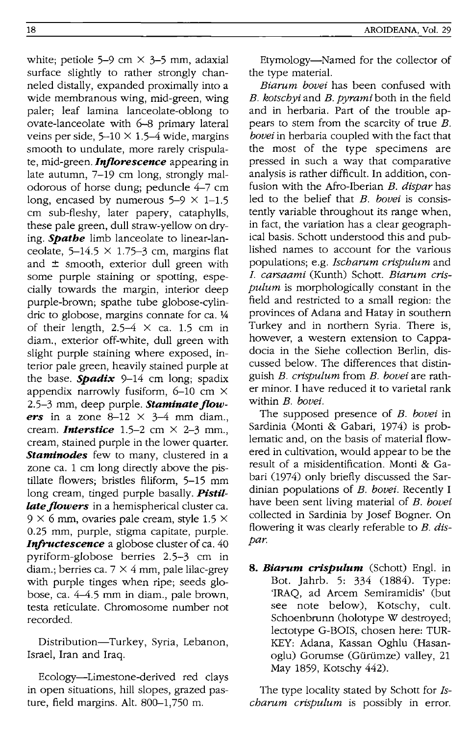white; petiole 5–9 cm  $\times$  3–5 mm, adaxial surface slightly to rather strongly channeled distally, expanded proximally into a wide membranous wing, mid-green, wing paler; leaf lamina lanceolate-oblong to ovate-Ianceolate with 6-8 primary lateral veins per side,  $5-10 \times 1.5-4$  wide, margins smooth to undulate, more rarely crispulate, mid-green. *InjIorescence* appearing in late autumn, 7-19 cm long, strongly malodorous of horse dung; peduncle 4-7 cm long, encased by numerous  $5-9 \times 1-1.5$ cm sub-fleshy, later papery, cataphylls, these pale green, dull straw-yellow on drying. *Spathe* limb lanceolate to linear-Ianceolate,  $5-14.5 \times 1.75-3$  cm, margins flat and  $\pm$  smooth, exterior dull green with some purple staining or spotting, especially towards the margin, interior deep purple-brown; spathe tube globose-cylindric to globose, margins connate for ca. 14 of their length,  $2.5-4 \times$  ca. 1.5 cm in diam., exterior off-white, dull green with slight purple staining where exposed, interior pale green, heavily stained purple at the base. *Spadix* 9–14 cm long; spadix appendix narrowly fusiform,  $6-10$  cm  $\times$ 2.5-3 mm, deep purple. *Staminate flowers* in a zone  $8-12 \times 3-4$  mm diam., cream. *Interstice* 1.5-2 cm  $\times$  2-3 mm., cream, stained purple in the lower quarter. **Staminodes** few to many, clustered in a zone ca. 1 cm long directly above the pistillate flowers; bristles filiform, 5-15 mm long cream, tinged purple basally. *Pistillate flowers* in a hemispherical cluster ca.  $9 \times 6$  mm, ovaries pale cream, style 1.5  $\times$ 0.25 mm, purple, stigma capitate, purple. *Infructescence* a globose cluster of ca. 40 pyriform-globose berries 2.5-3 cm in diam.; berries ca.  $7 \times 4$  mm, pale lilac-grey with purple tinges when ripe; seeds globose, ca. 4-4.5 mm in diam., pale brown, testa reticulate. Chromosome number not recorded.

Distribution-Turkey, Syria, Lebanon, Israel, Iran and Iraq.

Ecology-Limestone-derived red clays in open situations, hill slopes, grazed pasture, field margins. Alt. 800-1,750 m.

Etymology-Named for the collector of the type material.

*Biarum bovei* has been confused with *B. kotsehyi* and *B. pyrami* both in the field and in herbaria. Part of the trouble appears to stem from the scarcity of true *B. bovei* in herbaria coupled with the fact that the most of the type specimens are pressed in such a way that comparative analysis is rather difficult. In addition, confusion with the Afro-Iberian *B. dispar* has led to the belief that *B. bovei* is consistently variable throughout its range when, in fact, the variation has a clear geographical basis. Schott understood this and published names to account for the various populations; e.g. *Ischarum crispulum* and I. *earsaami* (Kunth) Schott. *Biarnm erispulum* is morphologically constant in the field and restricted to a small region: the provinces of Adana and Hatay in southern Turkey and in northern Syria. There is, however, a western extension to Cappadocia in the Siehe collection Berlin, discussed below. The differences that distinguish *B. erispulum* from *B. bovei* are rather minor. I have reduced it to varietal rank within *B. bovei.* 

The supposed presence of *B. bovei* in Sardinia (Monti & Gabari, 1974) is problematic and, on the basis of material flowered in cultivation, would appear to be the result of a misidentification. Monti & Gabari (1974) only briefly discussed the Sardinian populations of *B. bovei.* Recently I have been sent living material of *B. bovei*  collected in Sardinia by Josef Bogner. On flowering it was clearly referable to B. *dispar.* 

*8. Biarum crispulum* (Schott) Engl. in Bot. Jahrb. 5: 334 (1884). Type: 'IRAQ, ad Arcem Semiramidis' (but see note below), Kotschy, cult. Schoenbrunn (holotype W destroyed; lectotype G-BOIS, chosen here: TUR-KEY: Adana, Kassan Oghlu (Hasanoglu) Gorumse (Giiriimze) valley, 21 May 1859, Kotschy 442).

The type locality stated by Schott for *Ischarum crispulum* is possibly in error.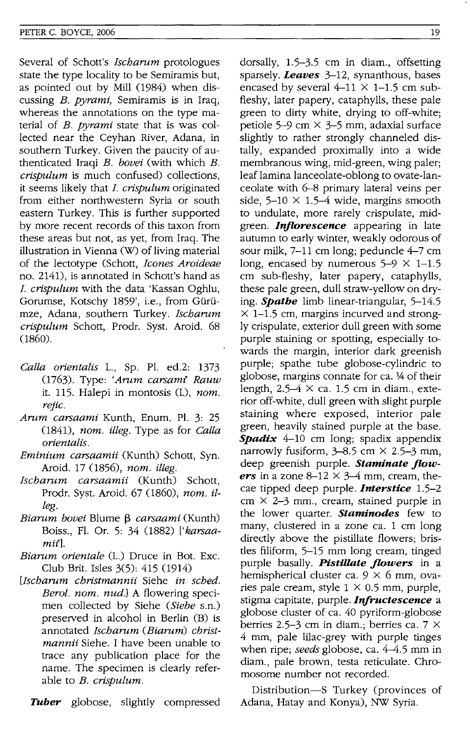Several of Schott's *Ischarum* protologues state the type locality to be Semiramis but, as pointed out by Mill (1984) when discussing *B. pyrami,* Semiramis is in Iraq, whereas the annotations on the type material of *B. pyrami* state that is was collected near the Ceyhan River, Adana, in southern Turkey. Given the paucity of authenticated Iraqi *B. bovei* (with which *B. crispulum* is much confused) collections, it seems likely that *I. crispulum* originated from either northwestern Syria or south eastern Turkey. This is further supported by more recent records of this taxon from these areas but not, as yet, from Iraq. The illustration in Vienna (W) of living material of the lectotype (Schott, */cones Aroideae*  no. 2141), is annotated in Schott's hand as *I. crispulum* with the data 'Kassan Oghlu, Gorumse, Kotschy 1859', i.e., from Gürümze, Adana, southern Turkey. *Ischarum crispulum* Schott, Prodr. Syst. Aroid. 68 (1860).

- *Calla orientalis* 1., Sp. PI. ed.2: 1373 (1763). Type: *'Arum carsamf Rauw*  it. 115. Halepi in montosis (L), *nom. rejic.*
- *Arum carsaami* Kunth, Enum. PI. 3: 25 *(1841), nom. illeg.* Type as for *Calla orientalis.*
- *Eminium carsaamii* (Kunth) Schott, Syn. Aroid. 17 (1856), *nom. illeg.*
- *Ischarum carsaamii* (Kunth) Schott, Prodr. Syst. Aroid. 67 (1860), *nom. illeg.*
- *Biarum bovei Blume β carsaami* (Kunth) Boiss., FI. Or. 5: 34 (1882) *['karsaamit'].*
- *Biarum orientale* (L.) Druce in Bot. Exc. Club Brit. Isles 3(5): 415 (1914)
- *[Ischarum christmannii* Siehe *in sched. Berol. nom. nud.l* A flowering specimen collected by Siehe *(Siehe* s.n.) preserved in alcohol in Berlin (B) is annotated *Ischarum (Biarum) christmannii* Siehe. I have been unable to trace any publication place for the name. The specimen is clearly referable to *B. crispulum.*

*Tuber* globose, slightly compressed

dorsally, 1.5-3.5 cm in diam., offsetting sparsely. *Leaves* 3-12, synanthous, bases encased by several  $4-11 \times 1-1.5$  cm subfleshy, later papery, cataphylls, these pale green to dirty white, drying to off-white; petiole 5–9 cm  $\times$  3–5 mm, adaxial surface slightly to rather strongly channeled distally, expanded proximally into a wide membranous wing, mid-green, wing paler; leaf lamina lanceolate-oblong to ovate-lanceolate with 6-8 primary lateral veins per side,  $5-10 \times 1.5-4$  wide, margins smooth to undulate, more rarely crispulate, midgreen. *Inflorescence* appearing in late autumn to early winter, weakly odorous of sour milk, 7-11 cm long; peduncle 4-7 cm long, encased by numerous  $5-9 \times 1-1.5$ cm sub-fleshy, later papery, cataphylls, these pale green, dull straw-yellow on drying. *Spathe* limb linear-triangular, 5-14.5  $\times$  1–1.5 cm, margins incurved and strongly crispulate, exterior dull green with some purple staining or spotting, especially towards the margin, interior dark greenish purple; spathe tube globose-cylindric to globose, margins connate for ca. % of their length,  $2.5-4 \times$  ca. 1.5 cm in diam., exterior off-white, dull green with slight purple staining where exposed, interior pale green, heavily stained purple at the base. *Spadix* 4-10 cm long; spadix appendix narrowly fusiform,  $3-8.5$  cm  $\times$  2.5-3 mm, deep greenish purple. *Staminate flowers* in a zone  $8-12 \times 3-4$  mm, cream, thecae tipped deep purple. *Interstice 1.5-2*  cm  $\times$  2-3 mm., cream, stained purple in the lower quarter. *Staminodes* few to many, clustered in a zone ca. 1 cm long directly above the pistillate flowers; bristles filiform, 5-15 mm long cream, tinged purple basally. *Pistillate flowers* in a hemispherical cluster ca.  $9 \times 6$  mm, ovaries pale cream, style  $1 \times 0.5$  mm, purple, stigma capitate, purple. *Infructescence* a globose cluster of ca. 40 pyriform-globose berries 2.5-3 cm in diam.; berries ca. 7 X 4 mm, pale lilac-grey with purple tinges when ripe; *seeds* globose, ca. 4-4.5 mm in diam., pale brown, testa reticulate. Chromosome number not recorded.

Distribution-S Turkey (provinces of Adana, Hatay and Konya), NW Syria.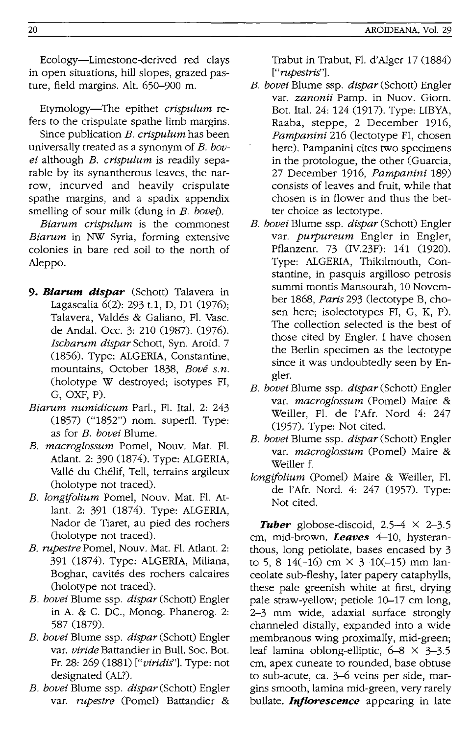Ecology-Limestone-derived red clays in open situations, hill slopes, grazed pasture, field margins. Alt. 650-900 m.

Etymology-The epithet *crispulum* refers to the crispulate spathe limb margins.

Since publication *B. crispulum* has been universally treated as a synonym of *B. bovei* although *B. crispulum* is readily separable by its synantherous leaves, the narrow, incurved and heavily crispulate spathe margins, and a spadix appendix smelling of sour milk (dung in *B. bovei*).

*Biarnm crispulum* is the commonest *Biarum* in NW Syria, forming extensive colonies in bare red soil to the north of Aleppo.

- *9. Biarum dispar* (Schott) Talavera in Lagascalia 6(2): 293 t.l, D, D1 (1976); Talavera, Valdés & Galiano, Fl. Vasc. de Anda!. Occ. 3: 210 (1987). (1976). *Ischarnm dispar* Schott, Syn. Aroid. 7 (1856). Type: ALGERIA, Constantine, mountains, October 1838, *Bove s.n.*  (holotype W destroyed; isotypes FI, G, OXF, P).
- *Biarum numidicum* Parl., Fl. Ital. 2: 243 (1857) ("1852") nom. superfl. Type: as for *B. bovei* Blume.
- *B. macroglossum* Pomel, Nouv. Mat. Fl. Adant. 2: 390 (1874). Type: ALGERIA, Vallé du Chélif, Tell, terrains argileux (holotype not traced).
- *B. longifolium* Pomel, Nouv. Mat. F!. Atlant. 2: 391 (1874). Type: ALGERIA, Nador de Tiaret, au pied des rochers (holotype not traced).
- *B. rnpestre* Pomel, Nouv. Mat. Fl. Adant. 2: 391 (1874). Type: ALGERIA, Miliana, Boghar, cavités des rochers calcaires (holotype not traced).
- *B. bovei* Blume ssp. *dispar(Schott)* Engler in A. & c. DC., Monog. Phanerog. 2: 587 (1879).
- *B. bovei* Blume ssp. *dispar* (Schott) Engler var. *viride* Battandier in Bull. Soc. Bot. Fr. 28: 269 (1881) *["viridis"].* Type: not designated (AL?).
- *B. bovei* Blume ssp. *dispar* (Schott) Engler var. *rnpestre* (Pomel) Battandier &

Trabut in Trabut, Fl. d'Aiger 17 (1884) *["rnpestris'* 'l.

- *B. bovei* Blume ssp. *dispar* (Schott) Engler var. *zanonii* Pamp. in Nuov. Giorn. Bot. Ital. 24: 124 (1917). Type: LIBYA, Raaba, steppe, 2 December 1916, *Pampanini* 216 (lectotype Fl, chosen here). Pampanini cites two specimens in the protologue, the other (Guarcia, 27 December 1916, *Pampanini 189)*  consists of leaves and fruit, while that chosen is in flower and thus the better choice as lectotype.
- *B. bovei* Blume ssp. *dispar* (Schott) Engler var. *purpureum* Engler in Engler, Pflanzenr. 73 (IV.23F): 141 (1920). Type: ALGERIA, Thikilmouth, Constantine, in pasquis argilloso petrosis summi montis Mansourah, 10 November 1868, *Paris* 293 (lectotype B, chosen here; isolectotypes FI, G, K, P). The collection selected is the best of those cited by Engler. I have chosen the Berlin specimen as the lectotype since it was undoubtedly seen by Engler.
- *B. bovei* Blume ssp. *dispar* (Schott) Engler var. *macroglossum* (Pome!) Maire & We iller, Fl. de l'Afr. Nord 4: 247 (1957). Type: Not cited.
- *B. bovei* Blume ssp. *dispar* (Schott) Engler var. *macroglossum* (Pomel) Maire & Weiller f.
- *longifolium* (Pome!) Maire & Weiller, Fl. de I'Afr. Nord. 4: 247 (1957). Type: Not cited.

**Tuber** globose-discoid,  $2.5-4 \times 2-3.5$ cm, mid-brown. Leaves 4-10, hysteranthous, long petiolate, bases encased by 3 to 5, 8-14(-16) cm  $\times$  3-10(-15) mm lanceolate sub-fleshy, later papery cataphylls, these pale greenish white at first, drying pale straw-yellow; petiole 10-17 cm long, 2-3 mm wide, adaxial surface strongly channeled distally, expanded into a wide membranous wing proximally, mid-green; leaf lamina oblong-elliptic,  $6-8 \times 3-3.5$ cm, apex cuneate to rounded, base obtuse to sub-acute, ca. 3-6 veins per side, margins smooth, lamina mid-green, very rarely bullate. *Inflorescence* appearing in late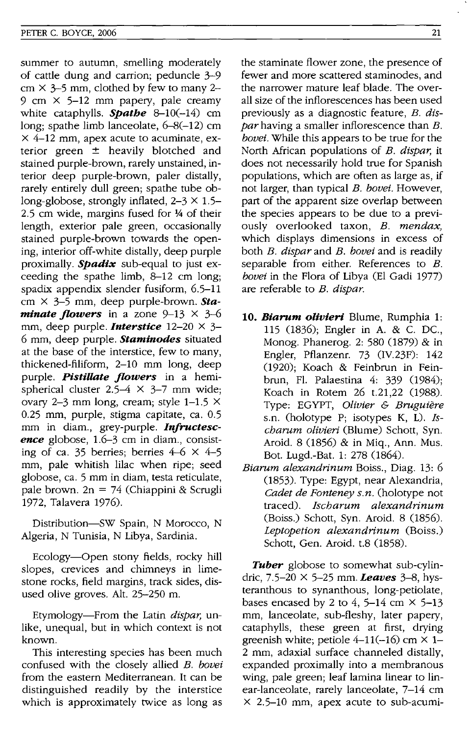summer to autumn, smelling moderately of cattle dung and carrion; peduncle 3--9 cm  $\times$  3-5 mm, clothed by few to many 2-9 cm  $\times$  5-12 mm papery, pale creamy white cataphylls. *Spathe* 8-10(-14) cm long; spathe limb lanceolate, 6-8(-12) cm  $\times$  4-12 mm, apex acute to acuminate, exterior green  $\pm$  heavily blotched and stained purple-brown, rarely unstained, interior deep purple-brown, paler distally, rarely entirely dull green; spathe tube oblong-globose, strongly inflated,  $2-3 \times 1.5-$ 2.5 cm wide, margins fused for  $4/4$  of their length, exterior pale green, occasionally stained purple-brown towards the opening, interior off-white distally, deep purple proximally. *Spadix* sub-equal to just exceeding the spathe limb, 8-12 cm long; spadix appendix slender fusiform, 6.5-11 cm X 3-5 mm, deep purple-brown. *Staminate flowers* in a zone  $9-13 \times 3-6$ mm, deep purple. *Interstice* 12-20 X 3- 6 mm, deep purple. *Staminodes* situated at the base of the interstice, few to many, thickened-filiform, 2-10 mm long, deep purple. *Pistillate flowers* in a hemispherical cluster  $2.5-4 \times 3-7$  mm wide; ovary 2-3 mm long, cream; style  $1-1.5 \times$ 0.25 mm, purple, stigma capitate, ca. 0.5 mm in diam., grey-purple. *Infructescence* globose, 1.6-3 cm in diam., consisting of ca. 35 berries; berries  $4-6 \times 4-5$ mm, pale whitish lilac when ripe; seed globose, ca. 5 mm in diam, testa reticulate, pale brown. 2n = 74 (Chiappini & Scrugli 1972, Talavera 1976).

Distribution-SW Spain, N Morocco, N Algeria, N Tunisia, N Libya, Sardinia.

Ecology-Open stony fields, rocky hill slopes, crevices and chimneys in limestone rocks, field margins, track sides, disused olive groves. Alt. 25-250 m.

Etymology-From the Latin *dispar,* unlike, unequal, but in which context is not known.

This interesting species has been much confused with the closely allied *B. bovei*  from the eastern Mediterranean. It can be distinguished readily by the interstice which is approximately twice as long as the staminate flower zone, the presence of fewer and more scattered staminodes, and the narrower mature leaf blade. The overall size of the inflorescences has been used previously as a diagnostic feature, *B. dispar* having a smaller inflorescence than B. *bovei.* While this appears to be true for the North African populations of *B. dispar,* it does not necessarily hold true for Spanish populations, which are often as large as, if not larger, than typical *B. bovei.* However, part of the apparent size overlap between the species appears to be due to a previously overlooked taxon, *B. mendax,*  which displays dimensions in excess of both *B. dispar* and *B. bovei* and is readily separable from either. References to B. *bovei* in the Flora of Libya (El Gadi 1977) are referable to *B. dispar.* 

- *10. Biarum olivieri* Blume, Rumphia 1: 115 (1836); Engler in A. & c. DC., Monog. Phanerog. 2: 580 (1879) & in Engler, Pflanzenr. 73 (IY.23F): 142 (1920); Koach & Feinbrun in Feinbrun, Fl. Palaestina 4: 339 (1984); Koach in Rotem 26 t.21,22 (1988). Type: EGYPT, *Olivier* & *Bruguiere*  s.n. (holotype P; isotypes K, L). *Ischarum olivieri* (Blume) Schott, Syn. Aroid. 8 (1856) & in Miq., Ann. Mus. Bot. Lugd.-Bat. 1: 278 (1864).
- *Biarum alexandrinum* Boiss., Diag. 13: 6 (1853). Type: Egypt, near Alexandria, *Cadet de Fonteney s.n.* (holotype not traced). *Ischarum alexandrinum*  (Boiss.) Schott, Syn. Aroid. 8 (1856). *Leptopetion alexandrinum* (Boiss.) Schott, Gen. Aroid. t.8 (1858).

*Tuber* globose to somewhat sub-cylindric, 7.5-20 X 5-25 mm. *Leaves* 3-8, hysteranthous to synanthous, long-petiolate, bases encased by 2 to 4, 5–14 cm  $\times$  5–13 mm, lanceolate, sub-fleshy, later papery, cataphylls, these green at first, drying greenish white; petiole  $4-11(-16)$  cm  $\times$  1-2 mm, adaxial surface channeled distally, expanded proximally into a membranous wing, pale green; leaf lamina linear to linear-lanceolate, rarely lanceolate, 7-14 cm  $\times$  2.5-10 mm, apex acute to sub-acumi-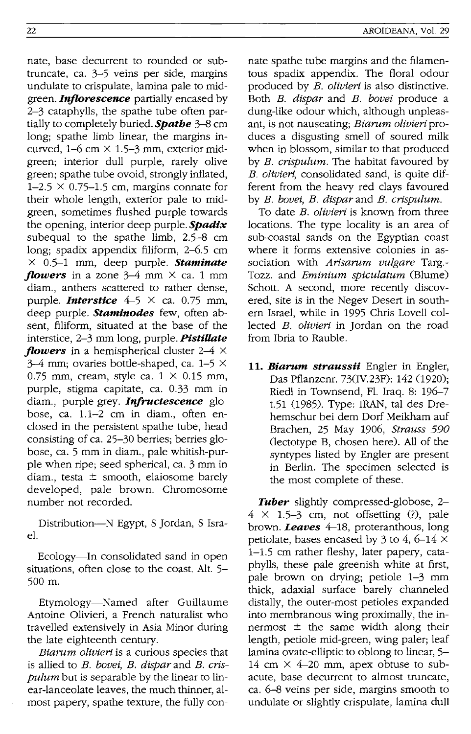nate, base decurrent to rounded or subtruncate, ca. 3-5 veins per side, margins undulate to crispulate, lamina pale to midgreen. *Inflorescence* partially encased by 2-3 cataphylls, the spathe tube often partially to completely buried. **Spathe** 3-8 cm long; spathe limb linear, the margins incurved,  $1-6$  cm  $\times$  1.5-3 mm, exterior midgreen; interior dull purple, rarely olive green; spathe tube ovoid, strongly inflated,  $1-2.5 \times 0.75-1.5$  cm, margins connate for their whole length, exterior pale to midgreen, sometimes flushed purple towards the opening, interior deep purple. *Spadix*  subequal to the spathe limb, 2.5-8 cm long; spadix appendix filiform, 2-6.5 cm X 0.5-1 mm, deep purple. *Staminate flowers* in a zone  $3-4$  mm  $\times$  ca. 1 mm diam., anthers scattered to rather dense, purple. *Interstice*  $4-5 \times ca$ . 0.75 mm, deep purple. *Staminodes* few, often absent, filiform, situated at the base of the interstice, 2-3 mm long, purple. *Pistillate flowers* in a hemispherical cluster 2-4 X  $3-4$  mm; ovaries bottle-shaped, ca.  $1-5 \times$ 0.75 mm, cream, style ca.  $1 \times 0.15$  mm, purple, stigma capitate, ca. 0.33 mm in diam., purple-grey. *Infructescence* globose, ca. 1.1-2 cm in diam., often enclosed in the persistent spathe tube, head consisting of ca. 25-30 berries; berries globose, ca. 5 mm in diam., pale whitish-purple when ripe; seed spherical, ca. 3 mm in diam., testa ± smooth, elaiosome barely developed, pale brown. Chromosome number not recorded.

Distribution-N Egypt, S Jordan, S Israel.

Ecology-In consolidated sand in open situations, often close to the coast. Alt. 5- 500 m.

Etymology-Named after Guillaume Antoine Olivieri, a French naturalist who travelled extensively in Asia Minor during the late eighteenth century.

*Biarum olivieri* is a curious species that is allied to *B. bovei, B. dispar* and *B. crispulum* but is separable by the linear to linear-Ianceolate leaves, the much thinner, almost papery, spathe texture, the fully connate spathe tube margins and the filamentous spadix appendix. The floral odour produced by *B. olivieri* is also distinctive. Both *B. dispar* and *B. bovei* produce a dung-like odour which, although unpleasant, is not nauseating; *Biarum olivieri* produces a disgusting smell of soured milk when in blossom, similar to that produced by *B. crispulum.* The habitat favoured by *B. oliVieri,* consolidated sand, is quite different from the heavy red clays favoured by *B. bovei,* B. *dispar* and *B. crlspulum.* 

To date *B. olivieri* is known from three locations. The type locality is an area of sub-coastal sands on the Egyptian coast where it forms extensive colonies in association with *Arisarum vulgare* Targ.- Tozz. and *Eminium spiculatum* (Blume) Schott. A second, more recently discovered, site is in the Negev Desert in southern Israel, while in 1995 Chris Lovell collected *B. olivieri* in Jordan on the road from Ibria to Rauble.

*11. Biarum straussii* Engler in Engler, Das Pflanzenr. 73(IV.23F): 142 (1920); Riedl in Townsend, Fl. Iraq. 8: 196-7 t.51 (1985). Type: IRAN, tal des Drehemschur bei dem Dorf Meikham auf Brachen, 25 May 1906, *Strauss 590*  (lectotype B, chosen here). All of the syntypes listed by Engler are present in Berlin. The specimen selected is the most complete of these.

*Tuber* slightly compressed-globose, 2-  $4 \times 1.5-3$  cm, not offsetting (?), pale brown. *Leaves* 4-18, proteranthous, long petiolate, bases encased by 3 to 4, 6-14  $\times$ 1-1.5 cm rather fleshy, later papery, cataphylls, these pale greenish white at first, pale brown on drying; petiole 1-3 mm thick, adaxial surface barely channeled distally, the outer-most petioles expanded into membranous wing proximally, the innermost  $\pm$  the same width along their length, petiole mid-green, wing paler; leaf lamina ovate-elliptic to oblong to linear, 5- 14 cm  $\times$  4-20 mm, apex obtuse to subacute, base decurrent to almost truncate, ca. 6-8 veins per side, margins smooth to undulate or slightly crispulate, lamina dull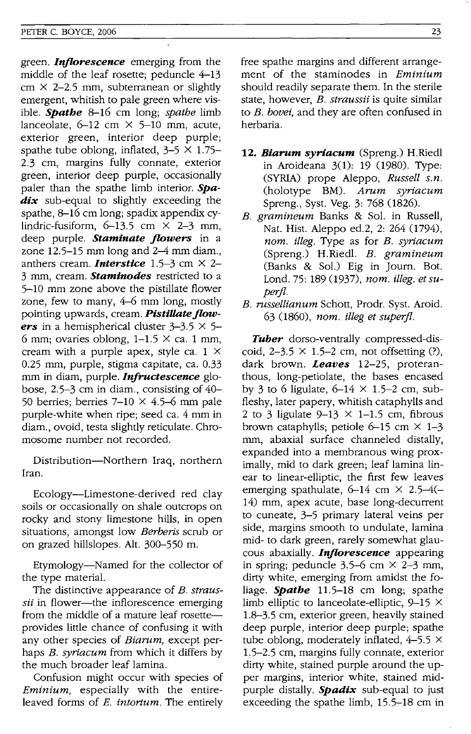green. *Inflorescence* emerging from the middle of the leaf rosette; peduncle 4-13  $cm \times 2-2.5$  mm, subterranean or slightly emergent, whitish to pale green where visible. *Spathe* 8-16 cm long; *spathe* limb lanceolate,  $6-12$  cm  $\times$  5-10 mm, acute, exterior green, interior deep purple; spathe tube oblong, inflated,  $3-5 \times 1.75-$ 2.3 cm, margins fully connate, exterior green, interior deep purple, occasionally paler than the spathe limb interior. *Spa*dix sub-equal to slightly exceeding the spathe, 8-16 cm long; spadix appendix cylindric-fusiform,  $6-13.5$  cm  $\times$  2-3 mm, deep purple. *Staminate Jlowers* in a zone 12.5-15 mm long and 2-4 mm diam., anthers cream. **Interstice** 1.5-3 cm  $\times$  2-3 mm, cream. *Staminodes* restricted to a 5-10 mm zone above the pistillate flower zone, few to many, 4-6 mm long, mostly pointing upwards, cream. **Pistillate flow***ers* in a hemispherical cluster  $3-3.5 \times 5-$ 6 mm; ovaries oblong,  $1-1.5 \times$  ca. 1 mm, cream with a purple apex, style ca.  $1 \times$ 0.25 mm, purple, stigma capitate, ca. 0.33 mm in diam, purple. *Infructescence* globose, 2.5-3 cm in diam., consisting of 40- 50 berries; berries  $7-10 \times 4.5-6$  mm pale purple-white when ripe; seed ca. 4 mm in diam., ovoid, testa slightly reticulate. Chromosome number not recorded.

Distribution-Northern Iraq, northern Iran.

Ecology-Limestone-derived red clay soils or occasionally on shale outcrops on rocky and stony limestone hills, in open situations, amongst low *Berberis* scrub or on grazed hillslopes. Alt. 300-550 m.

Etymology-Named for the collector of the type material.

The distinctive appearance of *B. straussii* in flower-the inflorescence emerging from the middle of a mature leaf rosetteprovides little chance of confusing it with any other species of *Biarum*, except perhaps *B. syriacum* from which it differs by the much broader leaf lamina.

Confusion might occur with species of *Eminium,* especially with the entireleaved forms of *E. intortum.* The entirely

free spathe margins and different arrangement of the staminodes in *Eminium*  should readily separate them. In the sterile state, however, *B. straussii* is quite similar to *B. bovei,* and they are often confused in herbaria.

- *12. Biarum syriacum* (Spreng.) H.Riedl in Aroideana 3(1): 19 (1980). Type: (SYRIA) prope Aleppo, *Russell s.n.*  (holotype BM). *Arum syriacum*  Spreng., Syst. Veg. 3: 768 (1826).
- *B. gramineum* Banks & Sol. in Russell, Nat. Hist. Aleppo ed.2, 2: 264 (1794), *nom. illeg.* Type as for *B. syriacum*  (Spreng.) H.Riedi. *B. gramineum*  (Banks & Sol.) Eig in ]ourn. Bot. Lond. 75: 189 (1937), *nom. illeg. et superjl.*
- *B. russellianum* Schott, Prodr. Syst. Aroid. 63 (1860), *nom. illeg et superjl.*

*Tuber* dorso-ventrally compressed-discoid,  $2-3.5 \times 1.5-2$  cm, not offsetting (?), dark brown. *Leaves* 12-25, proteranthous, long-petiolate, the bases encased by 3 to 6 ligulate,  $6-14 \times 1.5-2$  cm, subfleshy, later papery, whitish cataphylls and 2 to 3 ligulate  $9-13 \times 1-1.5$  cm, fibrous brown cataphylls; petiole 6-15 cm  $\times$  1-3 mm, abaxial surface channeled distally, expanded into a membranous wing proximally, mid to dark green; leaf lamina linear to linear-elliptic, the first few leaves emerging spathulate,  $6-14$  cm  $\times$  2.5-4(-14) mm, apex acute, base long-decurrent to cuneate, 3-5 primary lateral veins per side, margins smooth to undulate, lamina mid- to dark green, rarely somewhat glaucous abaxially. *Inflorescence* appearing in spring; peduncle  $3.5-6$  cm  $\times$  2-3 mm, dirty white, emerging from amidst the foliage. *Spathe* 1l.5-18 cm long; spathe limb elliptic to lanceolate-elliptic,  $9-15 \times$ l.8-3.5 cm, exterior green, heavily stained deep purple, interior deep purple; spathe tube oblong, moderately inflated,  $4-5.5 \times$ l.5-2.5 cm, margins fully connate, exterior dirty white, stained purple around the upper margins, interior white, stained midpurple distally. *Spadix* sub-equal to just exceeding the spathe limb, 15.5-18 cm in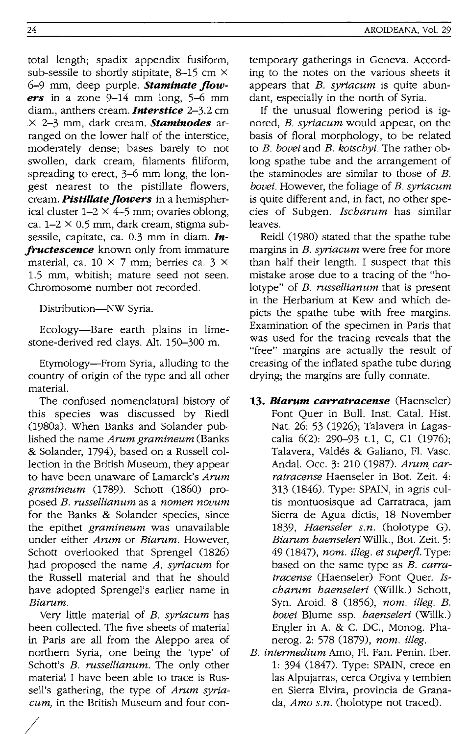total length; spadix appendix fusiform, sub-sessile to shortly stipitate, 8-15 cm  $\times$ 6-9 mm, deep purple. *Staminate jlowers* in a zone 9-14 mm long, 5-6 mm diam., anthers cream. *Interstice* 2-3.2 cm .x 2-3 mm, dark cream. *Staminodes* arranged on the lower half of the interstice, moderately dense; bases barely to not swollen, dark cream, filaments filiform, spreading to erect, 3-6 mm long, the longest nearest to the pistillate flowers, cream. **Pistillate flowers** in a hemispherical cluster  $1-2 \times 4-5$  mm; ovaries oblong, ca.  $1-2 \times 0.5$  mm, dark cream, stigma subsessile, capitate, ca. 0.3 mm in diam. *In fructescence* known only from immature material, ca. 10  $\times$  7 mm; berries ca. 3  $\times$ 1.5 mm, whitish; mature seed not seen. Chromosome number not recorded.

Distribution-NW Syria.

Ecology-Bare earth plains in limestone-derived red clays. Alt. 150-300 m.

Etymology-From Syria, alluding to the country of origin of the type and all other material.

The confused nomenclatural history of this species was discussed by Riedl (1980a). When Banks and Solander published the name *Arum gramineum* (Banks & Solander, 1794), based on a Russell collection in the British Museum, they appear to have been unaware of Lamarck's *Arum gramineum* (1789). Schott (1860) proposed *B. russellianum* as a *nomen novum*  for the Banks & Solander species, since the epithet *gramineum* was unavailable under either *Arum* or *Biarum.* However, Schott overlooked that Sprengel (1826) had proposed the name *A. syriacum* for the Russell material and that he should have adopted Sprengel's earlier name in *Biarum.* 

Very little material of *B. syriacum* has been collected. The five sheets of material in Paris are all from the Aleppo area of northern Syria, one being the 'type' of Schott's *B. russellianum.* The only other material I have been able to trace is Russell's gathering, the type of *Arum syriacum,* in the British Museum and four con-

/

temporary gatherings in Geneva. According to the notes on the various sheets it appears that *B. syriacum* is quite abundant, especially in the north of Syria.

If the unusual flowering period is ignored, *B. syriacum* would appear, on the basis of floral morphology, to be related to *B. bovei* and *B. kotschyi.* The rather oblong spathe tube and the arrangement of the staminodes are similar to those of *B. bovei.* However, the foliage of *B. syriacum*  is quite different and, in fact, no other species of Subgen. *Ischarum* has similar leaves.

Reidl (1980) stated that the spathe tube margins in *B. syriacum* were free for more than half their length. I suspect that this mistake arose due to a tracing of the "holotype" of *B. russellianum* that is present in the Herbarium at Kew and which depicts the spathe tube with free margins. Examination of the specimen in Paris that was used for the tracing reveals that the "free" margins are actually the result of creasing of the inflated spathe tube during drying; the margins are fully connate.

- *13. Biarum carratracense* (Haenseler) Font Quer in Bull. Inst. Catal. Hist. Nat. 26: 53 (1926); Talavera in Lagascalia 6(2): 290-93 t.1, C, C1 (1976); Talavera, Valdés & Galiano, Fl. Vasc. Andal. Occ. 3: 210 (1987). *Arum, carratracense* Haenseler in Bot. Zeit. 4: 313 (1846). Type: SPAIN, in agris cultis montuosisque ad Carratraca, jam Sierra de Agua dictis, 18 November *1839, Haenseler s.n.* (holotype G). *Biarum haenseleriWillk.,* Bot. Zeit. 5: 49 (1847), *nom. illeg. et superfl.* Type: based on the same type as *B. carratracense* (Haenseler) Font Quer. *Ischarum haenseleri* (Willk.) Schott, Syn. Aroid. 8 (1856), *nom. illeg. B. bovei* Blume ssp. *haenseleri* (Willk.) Engler in A. & C. DC., Monog. Phanerog. 2: 578 (1879), *nom. illeg.*
- *B. intermedium* Amo, Fl. Fan. Penin. Iber. 1: 394 (1847). Type: SPAIN, crece en las Alpujarras, cerca Orgiva y tembien en Sierra Elvira, provincia de Granada, *Amo s.n.* (holotype not traced).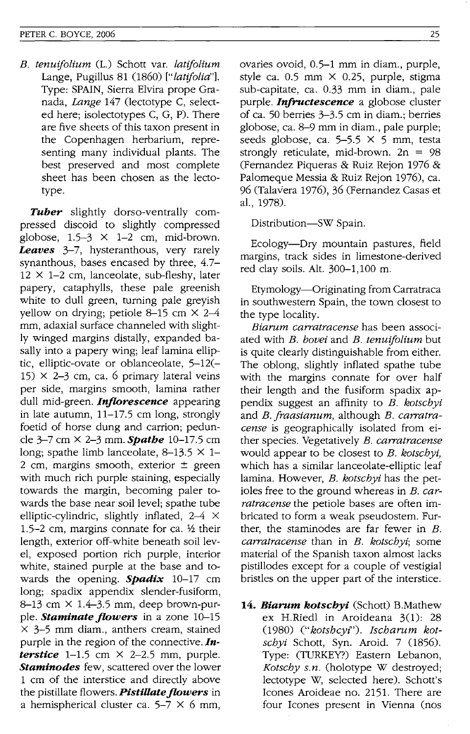*B. tenuifolium* (L.) Schott var. *latifolium*  Lange, Pugillus 81 (1860) [" *latifolia"]'*  Type: SPAIN, Sierra Elvira prope Granada, *Lange* 147 (lectotype C, selected here; isolectotypes C, G, P). There are five sheets of this taxon present in the Copenhagen herbarium, representing many individual plants. The best preserved and most complete sheet has been chosen as the lectotype.

*Tuber* slightly dorso-ventrally compressed discoid to slightly compressed globose,  $1.5-3 \times 1-2$  cm, mid-brown. *Leaves* 3-7, hysteranthous, very rarely synanthous, bases encased by three, 4.7-  $12 \times 1 - 2$  cm, lanceolate, sub-fleshy, later papery, cataphylls, these pale greenish white to dull green, turning pale greyish yellow on drying; petiole 8–15 cm  $\times$  2–4 mm, adaxial surface channeled with slightly winged margins distally, expanded basally into a papery wing; leaf lamina elliptic, elliptic-ovate or oblanceolate, 5-12(- 15)  $\times$  2–3 cm, ca. 6 primary lateral veins per side, margins smooth, lamina rather dull mid-green. *Inflorescence* appearing in late autumn, 11-17.5 cm long, strongly foetid of horse dung and carrion; peduncle 3-7 cm X 2-3 mm. *Spathe* 10-17.5 cm long; spathe limb lanceolate,  $8-13.5 \times 1-$ 2 cm, margins smooth, exterior  $\pm$  green with much rich purple staining, especially towards the margin, becoming paler towards the base near soil level; spathe tube elliptic-cylindric, slightly inflated,  $2-4 \times$ 1.5-2 cm, margins connate for ca.  $\frac{1}{2}$  their length, exterior off-white beneath soil level, exposed portion rich purple, interior white, stained purple at the base and towards the opening. *Spadix* 10-17 cm long; spadix appendix slender-fusiform, 8 $-13$  cm  $\times$  1.4 $-3.5$  mm, deep brown-purple. *Staminate flowers* in a zone 10-15  $\times$  3-5 mm diam., anthers cream, stained purple in the region of the connective. *Interstice*  $1-1.5$  cm  $\times$  2-2.5 mm, purple. *Staminodes* few, scattered over the lower 1 cm of the interstice and directly above the pistillate flowers. *PistiUateflowers* in a hemispherical cluster ca.  $5-7 \times 6$  mm, ovaries ovoid, 0.5-1 mm in diam., purple, style ca.  $0.5$  mm  $\times$  0.25, purple, stigma sub-capitate, ca. 0.33 mm in diam., pale purple. *Infructescence* a globose cluster of ca. 50 berries 3-3.5 cm in diam.; berries globose, ca. 8-9 mm in diam., pale purple; seeds globose, ca.  $5-5.5 \times 5$  mm, testa strongly reticulate, mid-brown.  $2n = 98$ (Fernandez Piqueras & Ruiz Rejon 1976 & Palomeque Messia & Ruiz Rejon 1976), ca. 96 (Talavera 1976), 36 (Fernandez Casas et aI., 1978).

Distribution-SW Spain.

Ecology-Dry mountain pastures, field margins, track sides in limestone-derived red clay soils. Alt. 300-1,100 m.

Etymology-Originating from Carratraca in southwestern Spain, the town closest to the type locality.

*Biarum carratracense* has been associated with *B. bovei* and *B. tenuifolium* but is quite clearly distinguishable from either. The oblong, slightly inflated spathe tube with the margins connate for over half their length and the fusiform spadix appendix suggest an affinity to *B. kotschyi*  and *B. jraasianum,* although *B. carratracense* is geographically isolated from either species. Vegetatively *B. carratracense*  would appear to be closest to *B. kotschyi,*  which has a similar lanceolate-elliptic leaf lamina. However, *B. kotschyi* has the petioles free to the ground whereas in *B. carratracense* the petiole bases are often imbricated to form a weak pseudostem. Further, the staminodes are far fewer in B. *carratracense* than in *B. kotschyi;* some material of the Spanish taxon almost lacks pistillodes except for a couple of vestigial bristles on the upper part of the interstice.

*14. Biarum kotschyi* (Schott) B.Mathew ex H.Riedl in Aroideana 3(1): 28 *(1980) ("kotshcyf'). Ischarum kotschyi* Schott, Syn. Aroid. 7 (1856). Type: (TURKEY?) Eastern Lebanon, *Kotschy s.n.* (holotype W destroyed; lectotype W, selected here). Schott's Icones Aroideae no. 2151. There are four Icones present in Vienna (nos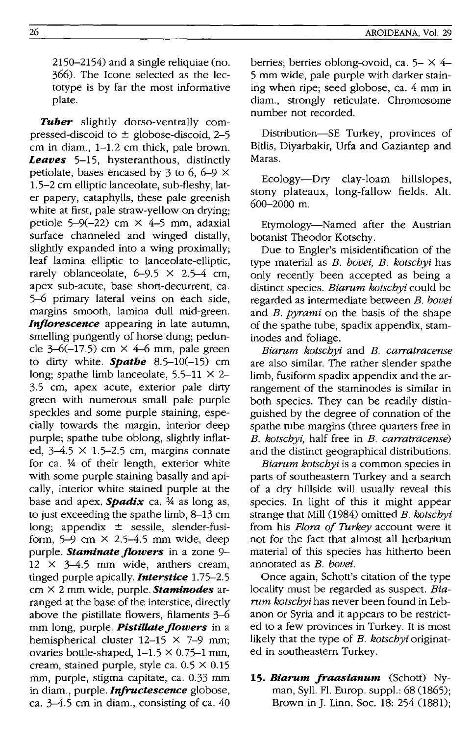2150-2154) and a single reliquiae (no. 366). The Icone selected as the lectotype is by far the most informative plate.

*Tuber* slightly dorso-ventrally compressed-discoid to ± globose-discoid, 2-5 cm in diam., 1-1.2 cm thick, pale brown. *Leaves* 5-15, hysteranthous, distinctly petiolate, bases encased by 3 to 6, 6–9  $\times$ 1.5-2 cm elliptic lanceolate, sub-fleshy, later papery, cataphylls, these pale greenish white at first, pale straw-yellow on drying; petiole 5-9(-22) cm  $\times$  4-5 mm, adaxial surface channeled and winged distally, slightly expanded into a wing proximally; leaf lamina elliptic to lanceolate-elliptic, rarely oblanceolate,  $6-9.5 \times 2.5-4$  cm, apex sub-acute, base short-decurrent, ca. 5-6 primary lateral veins on each side, margins smooth, lamina dull mid-green. *Inflorescence* appearing in late autumn, smelling pungently of horse dung; peduncle  $3-6(-17.5)$  cm  $\times$  4-6 mm, pale green to dirty white. *Spathe* 8.5-10(-15) cm long; spathe limb lanceolate,  $5.5-11 \times 2-$ 3.5 cm, apex acute, exterior pale dirty green with numerous small pale purple speckles and some purple staining, especially towards the margin, interior deep purple; spathe tube oblong, slightly inflated,  $3-4.5 \times 1.5-2.5$  cm, margins connate for ca. 14 of their length, exterior white with some purple staining basally and apically, interior white stained purple at the base and apex. **Spadix** ca. 34 as long as, to just exceeding the spathe limb, 8-13 cm long; appendix ± sessile, slender-fusiform, 5-9 cm  $\times$  2.5-4.5 mm wide, deep purple. *Staminate flowers* in a zone 9-  $12 \times 3 - 4.5$  mm wide, anthers cream, tinged purple apically. *Interstice 1.75-2.5*  cm X 2 mm wide, purple. *Staminodes* arranged at the base of the interstice, directly above the pistillate flowers, filaments 3-6 mm long, purple. *Pistillate flowers* in a hemispherical cluster  $12-15 \times 7-9$  mm; ovaries bottle-shaped,  $1-1.5 \times 0.75-1$  mm, cream, stained purple, style ca.  $0.5 \times 0.15$ mm, purple, stigma capitate, ca. 0.33 mm in diam., purple. *Infructescence* globose, ca. 3-4.5 cm in diam., consisting of ca. 40

berries; berries oblong-ovoid, ca.  $5 - \times 4$ 5 mm wide, pale purple with darker staining when ripe; seed globose, ca. 4 mm in diam., strongly reticulate. Chromosome number not recorded.

Distribution-SE Turkey, provinces of Bitlis, Diyarbakir, Urfa and Gaziantep and Maras.

Ecology-Dry clay-loam hillslopes, stony plateaux, long-fallow fields. Alt. 600-2000 m.

Etymology-Named after the Austrian botanist Theodor Kotschy.

Due to Engler's misidentification of the type material as *B. bovei, B. kotschyi* has only recently been accepted as being a distinct species. *Biarum kotschyi* could be regarded as intermediate between *B. bovei*  and *B. pyrami* on the basis of the shape of the spathe tube, spadix appendix, staminodes and foliage.

*Biarum kotschyi* and *B. carratracense*  are also similar. The rather slender spathe limb, fusiform spadix appendix and the arrangement of the staminodes is similar in both species. They can be readily distinguished by the degree of connation of the spathe tube margins (three quarters free in *B. kotschyi,* half free in *B. carratracense)*  and the distinct geographical distributions.

*Biarum kotschyi* is a common species in parts of southeastern Turkey and a search of a dry hillside will usually reveal this species. In light of this it might appear strange that Mill (1984) omitted B. *kotschyi*  from his *Flora of Turkey* account were it not for the fact that almost all herbarium material of this species has hitherto been annotated as *B. bovei.* 

Once again, Schott's citation of the type locality must be regarded as suspect. *Biarum kotschyi* has never been found in Lebanon or Syria and it appears to be restricted to a few provinces in Turkey. It is most likely that the type of *B. kotschyi* originated in southeastern Turkey.

*15. Biarum fraasianum* (Schott) Nyman, Syll. Fl. Europ. suppl.: 68 (1865); Brown in J. Linn. Soc. 18: 254 (1881);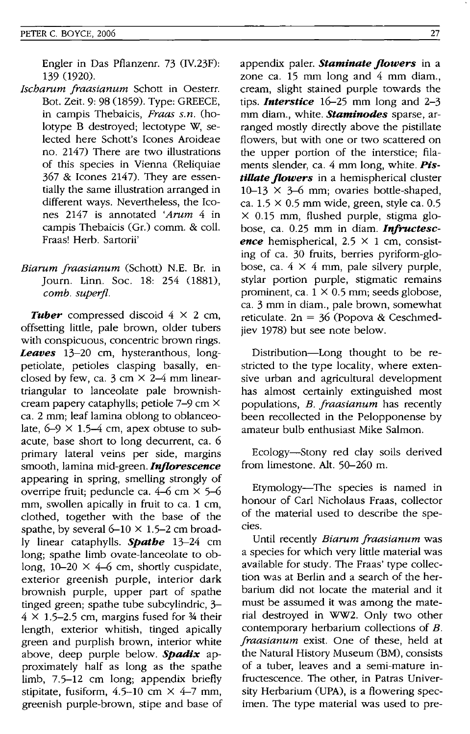Engler in Das Pflanzenr. 73 (IV.23F): 139 (1920).

- *Ischarum fraasianum* Schott in Oesterr. Bot. Zeit. 9: 98 (1859). Type: GREECE, in campis Thebaicis, *Fraas s.n.* (holotype B destroyed; lectotype W, selected here Schott's Icones Aroideae no. 2147) There are two illustrations of this species in Vienna (Reliquiae  $367$  & Icones 2147). They are essentially the same illustration arranged in different ways. Nevertheless, the leones 2147 is annotated *'Arum* 4 in campis Thebaicis (Gr.) comm. & coll. Fraas! Herb. Sartorii'
- *Biarum fraasianum* (Schott) N.E. Br. in Joum. Linn. Soc. 18: 254 (1881), *comb. superfl.*

**Tuber** compressed discoid  $4 \times 2$  cm, offsetting little, pale brown, older tubers with conspicuous, concentric brown rings. *Leaves* 13-20 cm, hysteranthous, longpetiolate, petioles clasping basally, enclosed by few, ca.  $3 \text{ cm} \times 2-4 \text{ mm}$  lineartriangular to lanceolate pale brownishcream papery cataphylls; petiole 7-9 cm X ca. 2 mm; leaf lamina oblong to oblanceolate,  $6-9 \times 1.5-4$  cm, apex obtuse to subacute, base short to long decurrent, ca. 6 primary lateral veins per side, margins smooth, lamina mid-green. *Inflorescence*  appearing in spring, smelling strongly of overripe fruit; peduncle ca.  $4-6$  cm  $\times$  5-6 mm, swollen apically in fruit to ca. 1 cm, clothed, together with the base of the spathe, by several  $6-10 \times 1.5-2$  cm broadly linear cataphylls. *Spathe* 13-24 cm long; spathe limb ovate-Ianceolate to oblong,  $10-20 \times 4-6$  cm, shortly cuspidate, exterior greenish purple, interior dark brownish purple, upper part of spathe tinged green; spathe tube subcylindric, 3-  $4 \times 1.5$ -2.5 cm, margins fused for  $\frac{3}{4}$  their length, exterior whitish, tinged apically green and purplish brown, interior white above, deep purple below. *Spadix* approximately half as long as the spathe limb, 7.5-12 cm long; appendix briefly stipitate, fusiform,  $4.5-10$  cm  $\times$  4-7 mm, greenish purple-brown, stipe and base of appendix paler. *Staminate flowers* in a zone ca. 15 mm long and 4 mm diam., cream, slight stained purple towards the tips. *Interstice* 16-25 mm long and 2-3 mm diam., white. *Staminodes* sparse, arranged mostly directly above the pistillate flowers, but with one or two scattered on the upper portion of the interstice; filaments slender, ca. 4 mm long, white. *Pistillate flowers* in a hemispherical cluster  $10-13 \times 3-6$  mm; ovaries bottle-shaped, ca.  $1.5 \times 0.5$  mm wide, green, style ca. 0.5  $\times$  0.15 mm, flushed purple, stigma globose, ca. 0.25 mm in diam. *Infructescence* hemispherical,  $2.5 \times 1$  cm, consisting of ca. 30 fruits, berries pyriform-globose, ca.  $4 \times 4$  mm, pale silvery purple, stylar portion purple, stigmatic remains prominent, ca.  $1 \times 0.5$  mm; seeds globose, ca. 3 mm in diam., pale brown, somewhat reticulate.  $2n = 36$  (Popova & Ceschmedjiev 1978) but see note below.

Distribution-Long thought to be restricted to the type locality, where extensive urban and agricultural development has almost certainly extinguished most populations, *B. fraasianum* has recently been recollected in the Pelopponense by amateur bulb enthusiast Mike Salmon.

Ecology-Stony red clay soils derived from limestone. Alt. 50-260 m.

Etymology-The species is named in honour of Carl Nicholaus Fraas, collector of the material used to describe the species.

Until recently *Biarum fraasianum* was a species for which very little material was available for study. The Fraas' type collection was at Berlin and a search of the herbarium did not locate the material and it must be assumed it was among the material destroyed in WW2. Only two other contemporary herbarium collections of *B. fraasianum* exist. One of these, held at the Natural History Museum (BM), consists of a tuber, leaves and a semi-mature infructescence. The other, in Patras University Herbarium (UPA), is a flowering specimen. The type material was used to pre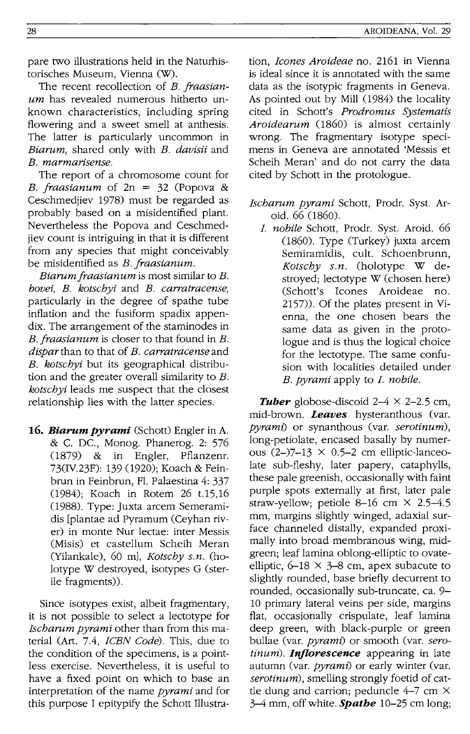pare two illustrations held in the Naturhistorisches Museum, Vienna (W).

The recent recollection of *B. fraasianum* has revealed numerous hitherto unknown characteristics, including spring flowering and a sweet smell at anthesis. The latter is particularly uncommon in *Biarum,* shared only with *B. davisii* and *B. marmarisense.* 

The report of a chromosome count for *B. fraasianum* of  $2n = 32$  (Popova & Ceschmedjiev 1978) must be regarded as probably based on a misidentified plant. Nevertheless the Popova and Ceschmedjiev count is intriguing in that it is different from any species that might conceivably be misidentified as *B. fraasianum.* 

*Biarum fraasianum* is most similar to *B. bovei, B. kotschyi* and *B. carratracense,*  particularly in the degree of spathe tube inflation and the fusiform spadix appendix. The arrangement of the staminodes in *B.fraasianum* is closer to that found in *B. disparthan* to that of *B. carratracenseand B. kotschyi* but its geographical distribution and the greater overall similarity to *B. kotschyi* leads me suspect that the closest relationship lies with the latter species.

*16. Biarum pyrami* (Schott) Engler in A. & c. DC., Monog. Phanerog. 2: 576 (1879) & in Engler, Pflanzenr. 73CIY.23F): 139 (1920); Koach & Feinbrun in Feinbrun, FI. Palaestina 4: 337 (1984); Koach in Rotem 26 t.l5,16 (1988). Type: Juxta arcem Semeramidis [plantae ad Pyramum (Ceyhan river) in monte Nur lectae: inter Messis (Misis) et castellum Scheih Meran (Yilankale), 60 mJ, *Kotschy s.n.* (holotype W destroyed, isotypes G (sterile fragments)).

Since isotypes exist, albeit fragmentary, it is not possible to select a lectotype for *Ischarum pyrami* other than from this material (Art. 7.4, *ICBN Code).* This, due to the condition of the specimens, is a pointless exercise. Nevertheless, it is useful to have a fixed point on which to base an interpretation of the name *pyrami* and for this purpose I epitypify the Schott Illustration, *leones Aroideae* no. 2161 in Vienna is ideal since it is annotated with the same data as the isotypic fragments in Geneva. As pointed out by Mill (1984) the locality cited in Schott's *Prodromus Systematis Aroidearum* (1860) is almost certainly wrong. The fragmentary isotype specimens in Geneva are annotated 'Messis et Scheih Meran' and do not carry the data cited by Schott in the protologue.

- *Ischarum pyrami* Schott, Prodr. Syst. Aroid. 66 (1860).
	- l. *nobile* Schott, Prodr. Syst. Aroid. 66 (1860). Type (Turkey) juxta arcem Semiramidis, cult. Schoenbrunn, *Kotschy s.n.* (holotype W destroyed; lectotype W (chosen here) (Schott's leones Aroideae no. 2157». Of the plates present in Vienna, the one chosen bears the same data as given in the protologue and is thus the logical choice for the lectotype. The same confusion with localities detailed under *B. pyrami* apply to l. *nobile.*

**Tuber** globose-discoid  $2-4 \times 2-2.5$  cm, mid-brown. *Leaves* hysteranthous (var. *pyramt)* or synanthous (var. *serotinum),*  long-petiolate, encased basally by numerous  $(2-)7-13 \times 0.5-2$  cm elliptic-lanceolate sub-fleshy, later papery, cataphylls, these pale greenish, occasionally with faint purple spots externally at first, later pale straw-yellow; petiole 8-16 cm  $\times$  2.5-4.5 mm, margins slightly winged, adaxial surface channeled distally, expanded proximally into broad membranous wing, midgreen; leaf lamina oblong-elliptic to ovateelliptic,  $6-18 \times 3-8$  cm, apex subacute to slightly rounded, base briefly decurrent to rounded, occasionally sub-truncate, ca. 9- 10 primary lateral veins per side, margins flat, occasionally crispulate, leaf lamina deep green, with black-purple or green bullae (var. *pyramt)* or smooth (var. *serotinum). InJ10rescence* appearing in late autumn (var. *pyramt)* or early winter (var. *serotinum),* smelling strongly foetid of cattle dung and carrion; peduncle  $4-7$  cm  $\times$ ~ mm, off white. *Spathe* 10-25 cm long;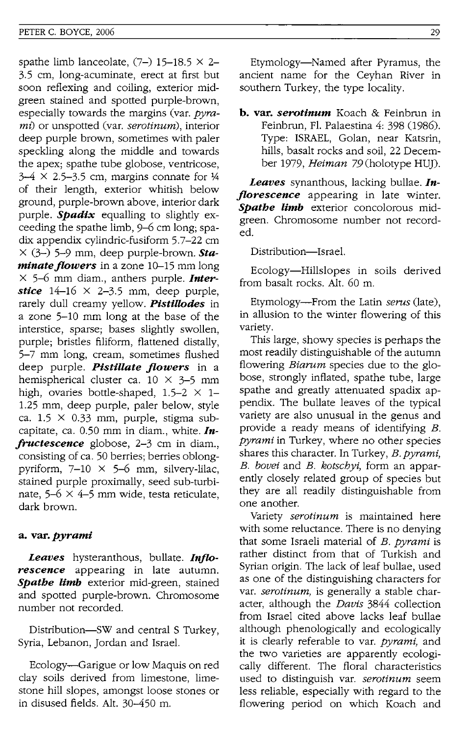spathe limb lanceolate,  $(7-)$  15-18.5  $\times$  2-3.5 cm, long-acuminate, erect at first but soon reflexing and coiling, exterior midgreen stained and spotted purple-brown, especially towards the margins (var. *pyramt)* or unspotted (var. *serotinum),* interior deep purple brown, sometimes with paler speckling along the middle and towards the apex; spathe tube globose, ventricose,  $3-4 \times 2.5-3.5$  cm, margins connate for  $\frac{1}{4}$ of their length, exterior whitish below ground, purple-brown above, interior dark purple. *Spadix* equalling to slightly exceeding the spathe limb,  $9-6$  cm long; spadix appendix cylindric-fusiform 5.7-22 cm X (3-) 5-9 mm, deep purple-brown. *Staminate flowers* in a zone 10-15 mm long X 5-6 mm diam., anthers purple. *Interstice*  $14-16 \times 2-3.5$  mm, deep purple, rarely dull creamy yellow. *Pistillodes* in a zone 5-10 mm long at the base of the interstice, sparse; bases slightly swollen, purple; bristles filiform, flattened distally, 5-7 mm long, cream, sometimes flushed deep purple. *Pistillate jlowers* in a hemispherical cluster ca.  $10 \times 3-5$  mm high, ovaries bottle-shaped,  $1.5-2 \times 1-$ 1.25 mm, deep purple, paler below, style ca.  $1.5 \times 0.33$  mm, purple, stigma subcapitate, ca. 0.50 mm in diam., white. *Infructescence* globose, 2-3 cm in diam., consisting of ca. 50 berries; berries oblongpyriform,  $7-10 \times 5-6$  mm, silvery-lilac, stained purple proximally, seed sub-turbinate,  $5-6 \times 4-5$  mm wide, testa reticulate, dark brown.

#### **a. var.** *pyrami*

*Leaves* hysteranthous, bullate. *lriflorescence* appearing in late autumn. *Spathe limb* exterior mid-green, stained and spotted purple-brown. Chromosome number not recorded.

Distribution-SW and central S Turkey, Syria, Lebanon, Jordan and Israel.

Ecology-Garigue or low Maquis on red clay soils derived from limestone, limestone hill slopes, amongst loose stones or in disused fields. Alt. 30-450 m.

Etymology-Named after Pyramus, the ancient name for the Ceyhan River in southern Turkey, the type locality.

**h. var.** *serotinum* Koach & Feinbrun in Feinbrun, Fl. Palaestina 4: 398 (1986). Type: ISRAEL, Golan, near Katsrin, hills, basalt rocks and soil, 22 December 1979, *Heiman* 79 (holotype HUJ).

*Leaves* synanthous, lacking bullae. *Inflorescence* appearing in late winter. *Spathe limb* exterior concolorous midgreen. Chromosome number not recorded.

Distribution-Israel.

Ecology-Hillslopes in soils derived from basalt rocks. Alt. 60 m.

Etymology-From the Latin *serus* (late), in allusion to the winter flowering of this variety.

This large, showy species is perhaps the most readily distinguishable of the autumn flowering *Biarum* species due to the globose, strongly inflated, spathe tube, large spathe and greatly attenuated spadix appendix. The bullate leaves of the typical variety are also unusual in the genus and provide a ready means of identifying *B. pyrami* in Turkey, where no other species shares this character. In Turkey, *B. pyrami, B. bovei* and *B. kotschyi,* form an apparently closely related group of species but they are all readily distinguishable from one another.

Variety *serotinum* is maintained here with some reluctance. There is no denying that some Israeli material of *B. pyrami* is rather distinct from that of Turkish and Syrian origin. The lack of leaf bullae, used as one of the distinguishing characters for var. *serotinum,* is generally a stable character, although the *Davis* 3844 collection from Israel cited above lacks leaf bullae although phenologically and ecologically it is clearly referable to var. *pyrami,* and the two varieties are apparently ecologically different. The floral characteristics used to distinguish var. *serotinum* seem less reliable, especially with regard to the flowering period on which Koach and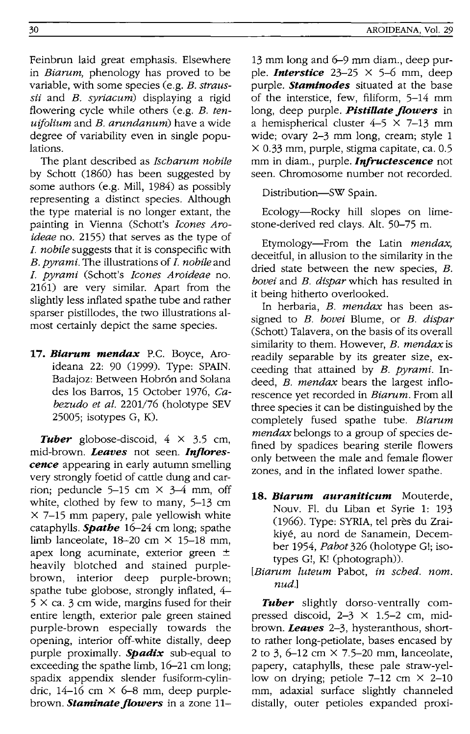Feinbrun laid great emphasis. Elsewhere in *Biarum*, phenology has proved to be variable, with some species (e.g. *B. straussii* and *B. syriaeum)* displaying a rigid flowering cycle while others (e.g. *B. tenuifolium* and *B. arnndanum)* have a wide degree of variability even in single populations.

The plant described as *Ischarum nobile* by Schott (1860) has been suggested by some authors (e.g. Mill, 1984) as possibly representing a distinct species. Although the type material is no longer extant, the painting in Vienna (Schott's *Icones Aroideae* no. 2155) that serves as the type of l. *nobile* suggests that it is conspecific with *B. pyrami.* The illustrations of l. *nobile* and *I. pyrami* (Schott's *leones Aroideae* no. 2161) are very similar. Apart from the slightly less inflated spathe tube and rather sparser pistillodes, the two illustrations almost certainly depict the same species.

*17. Biarum mendax* P.C. Boyce, Aroideana 22: 90 (1999). Type: SPAIN. Badajoz: Between Hobrón and Solana des los Barros, 15 October 1976, Ca*bezudo et al.* 2201/76 (holotype SEV 25005; isotypes G, K).

**Tuber** globose-discoid,  $4 \times 3.5$  cm, mid-brown. *Leaves* not seen. *Inflorescence* appearing in early autumn smelling very strongly foetid of cattle dung and carrion; peduncle 5–15 cm  $\times$  3–4 mm, off white, clothed by few to many, 5-13 cm  $\times$  7–15 mm papery, pale yellowish white cataphylls. *Spathe* 16-24 cm long; spathe limb lanceolate,  $18-20$  cm  $\times$  15-18 mm, apex long acuminate, exterior green ± heavily blotched and stained purplebrown, interior deep purple-brown; spathe tube globose, strongly inflated, 4-  $5 \times ca$ . 3 cm wide, margins fused for their entire length, exterior pale green stained purple-brown especially towards the opening, interior off-white distally, deep purple proximally. *Spadix* sub-equal to exceeding the spathe limb, 16-21 cm long; spadix appendix slender fusiform-cylindric,  $14-16$  cm  $\times$  6-8 mm, deep purplebrown. *Staminate flowers* in a zone 11AROIDEANA, Vol. 29

13 mm long and 6-9 mm diam., deep purple. *Interstice*  $23-25 \times 5-6$  mm, deep purple. *Staminodes* situated at the base of the interstice, few, filiform, 5-14 mm long, deep purple. *PistiUate flowers* in a hemispherical cluster  $4-5 \times 7-13$  mm wide; ovary 2-3 mm long, cream; style 1 X 0.33 mm, purple, stigma capitate, ca. 0.5 mm in diam., purple. *Infructescence* not seen. Chromosome number not recorded.

Distribution-SW Spain.

Ecology-Rocky hill slopes on limestone-derived red clays. Alt. 50-75 m.

Etymology-From the Latin *mendax,*  deceitful, in allusion to the similarity in the dried state between the new species, *B. bovei* and *B. dispar* which has resulted in it being hitherto overlooked.

In herbaria, *B. mendax* has been assigned to *B. bovei* Blume, or *B. dispar*  (Schott) Talavera, on the basis of its overall similarity to them. However, *B. mendax* is readily separable by its greater size, exceeding that attained by *B. pyrami.* Indeed, *B. mendax* bears the largest inflorescence yet recorded in *Biarum*. From all three species it can be distinguished by the completely fused spathe tube. *Biarnm mendax* belongs to a group of species defined by spadices bearing sterile flowers only between the male and female flower zones, and in the inflated lower spathe.

- 18. Biarum auraniticum Mouterde, Nouv. FI. du Liban et Syrie 1: 193 (1966). Type: SYRIA, tel près du Zraikiye, au nord de Sanamein, December 1954, *Pabot* 326 (holotype G!; isotypes G!, K! (photograph)).
- *[Biarnm luteum* Pabot, *in sebed. nom. nud.*

*Tuber* slightly dorso-ventrally compressed discoid,  $2-3 \times 1.5-2$  cm, midbrown. *Leaves* 2-3, hysteranthous, shortto rather long-petiolate, bases encased by 2 to 3, 6-12 cm X 7.5-20 mm, lanceolate, papery, cataphylls, these pale straw-yellow on drying; petiole  $7-12$  cm  $\times$  2-10 mm, adaxial surface slightly channeled distally, outer petioles expanded proxi-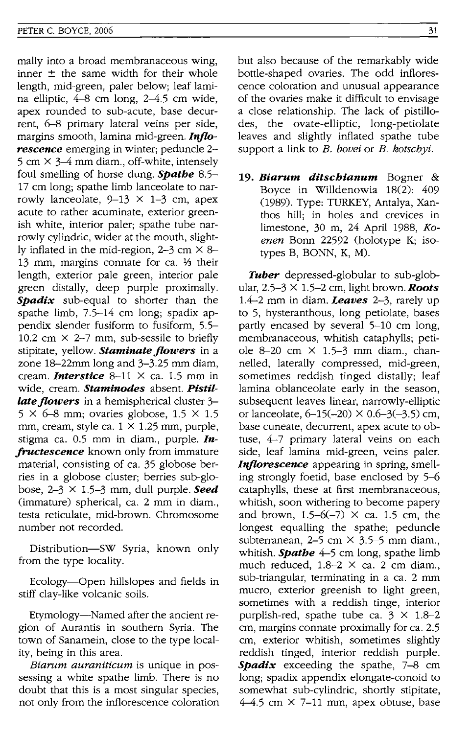mally into a broad membranaceous wing, inner  $\pm$  the same width for their whole length, mid-green, paler below; leaf lamina elliptic,  $4\overline{-8}$  cm long, 2-4.5 cm wide, apex rounded to sub-acute, base decurrent, 6-8 primary lateral veins per side, margins smooth, lamina mid-green. *Inflorescence* emerging in winter; peduncle 2- 5 cm  $\times$  3-4 mm diam., off-white, intensely foul smelling of horse dung. *Spathe 8.5-* 17 cm long; spathe limb lanceolate to narrowly lanceolate,  $9-13 \times 1-3$  cm, apex acute to rather acuminate, exterior greenish white, interior paler; spathe tube narrowly cylindric, wider at the mouth, slightly inflated in the mid-region, 2-3 cm  $\times$  8-13 mm, margins connate for ca.  $\frac{1}{3}$  their length, exterior pale green, interior pale green distally, deep purple proximally. **Spadix** sub-equal to shorter than the spathe limb, 7.5-14 cm long; spadix appendix slender fusiform to fusiform, 5.5- 10.2 cm  $\times$  2-7 mm, sub-sessile to briefly stipitate, yellow. *Staminate flowers* in a zone  $18-22$ mm long and  $3-3.25$  mm diam, cream. *Interstice*  $8-11 \times$  ca. 1.5 mm in wide, cream. *Staminodes* absent. *Pistillate flowers* in a hemispherical cluster 3- $5 \times 6 - 8$  mm; ovaries globose,  $1.5 \times 1.5$ mm, cream, style ca.  $1 \times 1.25$  mm, purple, stigma ca. 0.5 mm in diam., purple. *Infructescence* known only from immature material, consisting of ca. 35 globose berries in a globose cluster; berries sub-globose,  $2-3 \times 1.5-3$  mm, dull purple. **Seed** (immature) spherical, ca. 2 mm in diam., testa reticulate, mid-brown. Chromosome number not recorded.

Distribution-SW Syria, known only from the type locality.

Ecology-Open hillslopes and fields in stiff clay-like volcanic soils.

Etymology-Named after the ancient region of Aurantis in southern Syria. The town of Sanamein, close to the type locality, being in this area.

*Biarum auraniticum* is unique in possessing a white spathe limb. There is no doubt that this is a most singular species, not only from the inflorescence coloration but also because of the remarkably wide bottle-shaped ovaries. The odd inflorescence coloration and unusual appearance of the ovaries make it difficult to envisage a close relationship. The lack of pistillodes, the ovate-elliptic, long-petiolate leaves and slightly inflated spathe tube support a link to *B. hovei* or *B. kotschyi.* 

*19. Biarum ditschianum* Bogner & Boyce in Willdenowia 18(2): 409 (1989). Type: TURKEY, Antalya, Xanthos hill; in holes and crevices in limestone, 30 m, 24 April 1988, Ko*enen* Bonn 22592 (holotype K; isotypes B, BONN, K, M).

*Tuber* depressed-globular to sub-globular,  $2.5-3 \times 1.5-2$  cm, light brown. *Roots* 1.4-2 mm in diam. *Leaves* 2-3, rarely up to 5, hysteranthous, long petiolate, bases partly encased by several 5-10 cm long, membranaceous, whitish cataphylls; petiole 8-20 cm  $\times$  1.5-3 mm diam., channelled, laterally compressed, mid-green, sometimes reddish tinged distally; leaf lamina oblanceolate early in the season, subsequent leaves linear, narrowly-elliptic or lanceolate,  $6-15(-20) \times 0.6-3(-3.5)$  cm, base cuneate, decurrent, apex acute to obtuse, 4-7 primary lateral veins on each side, leaf lamina mid-green, veins paler. *Inflorescence* appearing in spring, smelling strongly foetid, base enclosed by  $5-6$ cataphylls, these at first membranaceous, whitish, soon withering to become papery and brown,  $1.5-6(-7) \times$  ca. 1.5 cm, the longest equalling the spathe; peduncle subterranean,  $2-5$  cm  $\times$  3.5-5 mm diam. whitish. *Spathe* 4-5 cm long, spathe limb much reduced,  $1.8-2 \times$  ca. 2 cm diam., sub-triangular, terminating in a ca. 2 mm mucro, exterior greenish to light green, sometimes with a reddish tinge, interior purplish-red, spathe tube ca.  $3 \times 1.8-2$ cm, margins connate proximally for ca. 2.5 cm, exterior whitish, sometimes slightly reddish tinged, interior reddish purple. Spadix exceeding the spathe, 7-8 cm long; spadix appendix elongate-conoid to somewhat sub-cylindric, shortly stipitate,  $4-4.5$  cm  $\times$  7–11 mm, apex obtuse, base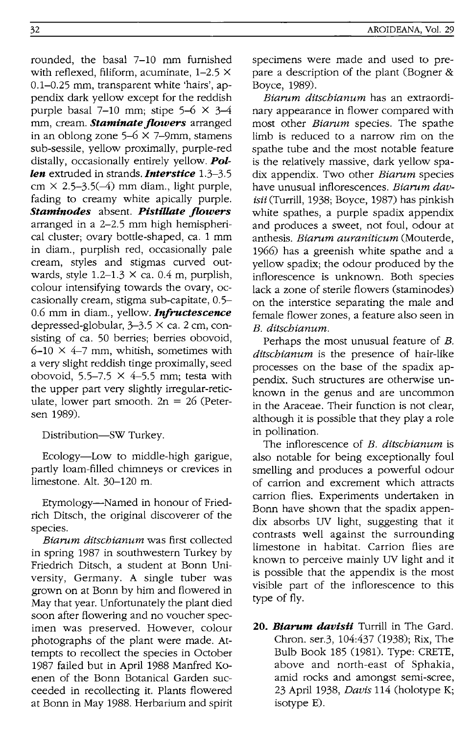rounded, the basal 7-10 mm furnished with reflexed, filiform, acuminate,  $1-2.5 \times$ 0.1-0.25 mm, transparent white 'hairs', appendix dark yellow except for the reddish purple basal 7–10 mm; stipe  $5-6 \times 3-4$ mm, cream. *Staminate flowers* arranged in an oblong zone  $5-6 \times 7-9$ mm, stamens sub-sessile, yellow proximally, purple-red distally, occasionally entirely yellow. **Pol***len* extruded in strands. *Interstice 1.3-3.5*   $cm \times 2.5 - 3.5(-4)$  mm diam., light purple, fading to creamy white apically purple. *Staminodes* absent. *PistiUate flowers*  arranged in a 2-2.5 mm high hemispherical cluster; ovary bottle-shaped, ca. 1 mm in diam., purplish red, occasionally pale cream, styles and stigmas curved outwards, style  $1.2-1.3 \times$  ca. 0.4 m, purplish, colour intensifying towards the ovary, occasionally cream, stigma sub-capitate, 0.5- 0.6 mm in diam., yellow. *Infructescence*  depressed-globular,  $3-3.5 \times$  ca. 2 cm, consisting of ca. 50 berries; berries obovoid,  $6-10 \times 4-7$  mm, whitish, sometimes with a very slight reddish tinge proximally, seed obovoid, 5.5-7.5  $\times$  4-5.5 mm; testa with the upper part very slightly irregular-reticulate, lower part smooth.  $2n = 26$  (Petersen 1989).

Distribution-SW Turkey.

Ecology-Low to middle-high garigue, partly loam-filled chimneys or crevices in limestone. Alt. 30-120 m.

Etymology-Named in honour of Friedrich Ditsch, the original discoverer of the species.

Biarum ditscbianum was first collected in spring 1987 in southwestern Turkey by Friedrich Ditsch, a student at Bonn University, Germany. A single tuber was grown on at Bonn by him and flowered in May that year. Unfortunately the plant died soon after flowering and no voucher specimen was preserved. However, colour photographs of the plant were made. Attempts to recollect the species in October 1987 failed but in April 1988 Manfred Koenen of the Bonn Botanical Garden succeeded in recollecting it. Plants flowered at Bonn in May 1988. Herbarium and spirit

specimens were made and used to prepare a description of the plant (Bogner & Boyce, 1989).

Biarum ditscbianum has an extraordinary appearance in flower compared with most other Biarum species. The spathe limb is reduced to a narrow rim on the spathe tube and the most notable feature is the relatively massive, dark yellow spadix appendix. Two other Biarum species have unusual inflorescences. Biarum dav*isii* (Turrill, 1938; Boyce, 1987) has pinkish white spathes, a purple spadix appendix and produces a sweet, not foul, odour at anthesis. Biarum auraniticum (Mouterde, 1966) has a greenish white spathe and a yellow spadix; the odour produced by the inflorescence is unknown. Both species lack a zone of sterile flowers (staminodes) on the interstice separating the male and female flower zones, a feature also seen in B. ditscbianum.

Perhaps the most unusual feature of *B.*  ditscbianum is the presence of hair-like processes on the base of the spadix appendix. Such structures are otherwise unknown in the genus and are uncommon in the Araceae. Their function is not clear, although it is possible that they play a role in pollination.

The inflorescence of *B. ditschianum* is also notable for being exceptionally foul smelling and produces a powerful odour of carrion and excrement which attracts carrion flies. Experiments undertaken in Bonn have shown that the spadix appendix absorbs UV light, suggesting that it contrasts well against the surrounding limestone in habitat. Carrion flies are known to perceive mainly UV light and it is possible that the appendix is the most visible part of the inflorescence to this type of fly.

*20. Biarum davisii* Turrill in The Gard. Chron. ser.3, 104:437 (1938); Rix, The Bulb Book 185 (981). Type: CRETE, above and north-east of Sphakia, amid rocks and amongst semi-scree, 23 April 1938, *Davis* 114 (holotype K; isotype E).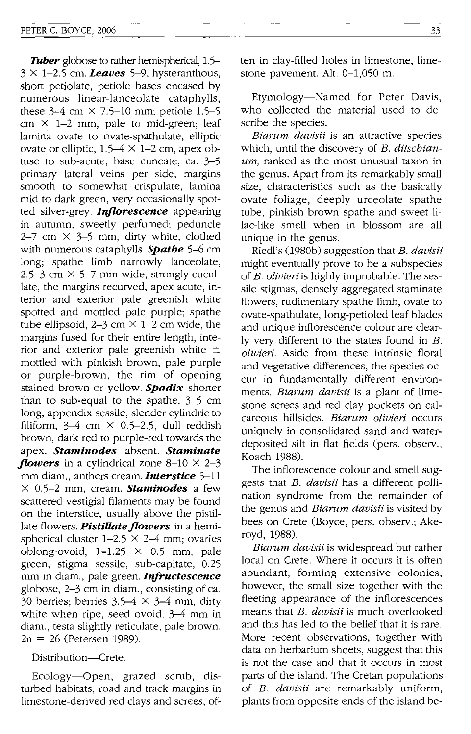**Tuber** globose to rather hemispherical, 1.5- $3 \times 1-2.5$  cm. **Leaves** 5-9, hysteranthous, short petiolate, petiole bases encased by numerous linear-lanceolate cataphylls, these  $3-4$  cm  $\times$  7.5-10 mm; petiole 1.5-5 cm X 1-2 mm, pale to mid-green; leaf lamina ovate to ovate-spathulate, elliptic ovate or elliptic,  $1.5-4 \times 1-2$  cm, apex obtuse to sub-acute, base cuneate, ca. 3-5 primary lateral veins per side, margins smooth to somewhat crispulate, lamina mid to dark green, very occasionally spotted silver-grey. *Injlorescence* appearing in autumn, sweetly perfumed; peduncle 2-7 cm  $\times$  3-5 mm, dirty white, clothed with numerous cataphylls. *Spathe* 5-6 cm long; spathe limb narrowly lanceolate, 2.5-3 cm  $\times$  5-7 mm wide, strongly cucullate, the margins recurved, apex acute, interior and exterior pale greenish white spotted and mottled pale purple; spathe tube ellipsoid,  $2-3$  cm  $\times$  1-2 cm wide, the margins fused for their entire length, interior and exterior pale greenish white  $\pm$ mottled with pinkish brown, pale purple or purple-brown, the rim of opening stained brown or yellow. *Spadix* shorter than to sub-equal to the spathe, 3-5 cm long, appendix sessile, slender cylindric to filiform,  $3-4$  cm  $\times$  0.5-2.5, dull reddish brown, dark red to purple-red towards the apex. *Staminodes* absent. *Staminate flowers* in a cylindrical zone  $8-10 \times 2-3$ mm diam., anthers cream. *Interstice* 5-11 X 0.5-2 mm, cream. *Staminodes* a few scattered vestigial filaments may be found on the interstice, usually above the pistillate flowers. *Pistillate flowers* in a hemispherical cluster  $1-2.5 \times 2-4$  mm; ovaries oblong-ovoid,  $1-1.25 \times 0.5$  mm, pale green, stigma sessile, sub-capitate, 0.25 mm in diam., pale green. *Infructescence* globose, 2-3 cm in diam., consisting of ca. 30 berries; berries  $3.5-4 \times 3-4$  mm, dirty white when ripe, seed ovoid, 3-4 mm in diam., testa slightly reticulate, pale brown.  $2n = 26$  (Petersen 1989).

### Distribution-Crete.

Ecology-Open, grazed scrub, disturbed habitats, road and track margins in limestone-derived red clays and screes, often in clay-filled holes in limestone, limestone pavement. Alt. 0-1,050 m.

Etymology-Named for Peter Davis, who collected the material used to describe the species.

*Biarum davisii* is an attractive species which, until the discovery of *B. ditschianum,* ranked as the most unusual taxon in the genus. Apart from its remarkably small size, characteristics such as the basically ovate foliage, deeply urceolate spathe tube, pinkish brown spathe and sweet lilac-like smell when in blossom are all unique in the genus.

Riedl's (1980b) suggestion that *B. davisii*  might eventually prove to be a subspecies of *B. olivieri* is highly improbable. The sessile stigmas, densely aggregated staminate flowers, rudimentary spathe limb, ovate to ovate-spathulate, long-petioled leaf blades and unique inflorescence colour are clearly very different to the states found in *B. olivieri.* Aside from these intrinsic floral and vegetative differences, the species occur in fundamentally different environments. *Biarum davisii* is a plant of limestone screes and red clay pockets on calcareous hillsides. *Biarum olivieri* occurs uniquely in consolidated sand and waterdeposited silt in flat fields (pers. observ., Koach 1988).

The inflorescence colour and smell suggests that *B. davisii* has a different pollination syndrome from the remainder of the genus and *Biarum davisii* is visited by bees on Crete (Boyce, pers. observ.; Akeroyd, 1988).

*Biarum davisii* is widespread but rather local on Crete. Where it occurs it is often abundant, forming extensive colonies, however, the small size together with the fleeting appearance of the inflorescences means that *B. davisii* is much overlooked and this has led to the belief that it is rare. More recent observations, together with data on herbarium sheets, suggest that this is not the case and that it occurs in most parts of the island. The Cretan populations of *B. davisii* are remarkably uniform, plants from opposite ends of the island be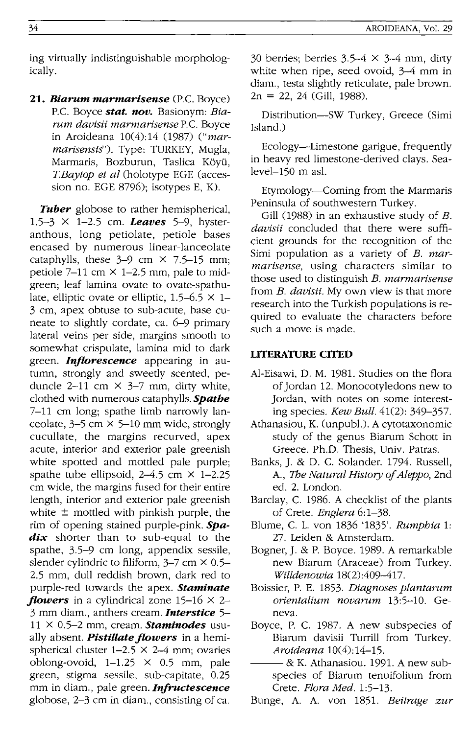ing virtually indistinguishable morphologically.

*21. Biarum marmarisense* (P.c. Boyce) P.c. Boyce *stat. nov.* Basionym: *Biarum davisii marmarisense* P.c. Boyce in Aroideana 10(4):14 (1987) *("mar*marisensis"). Type: TURKEY, Mugla, Marmaris, Bozburun, Taslica Köyü, *T.Baytop et al* (holotype EGE (accession no. EGE 8796); isotypes E, K).

**Tuber** globose to rather hemispherical,  $1.5-3 \times 1-2.5$  cm. **Leaves** 5-9, hysteranthous, long petiolate, petiole bases encased by numerous linear-Ianceolate cataphylls, these  $3-9$  cm  $\times$  7.5-15 mm; petiole 7–11 cm  $\times$  1–2.5 mm, pale to midgreen; leaf lamina ovate to ovate-spathulate, elliptic ovate or elliptic,  $1.5-6.5 \times 1-$ 3 cm, apex obtuse to sub-acute, base cuneate to slightly cordate, ca. 6-9 primary lateral veins per side, margins smooth to somewhat crispulate, lamina mid to dark green. *Inflorescence* appearing in autumn, strongly and sweetly scented, peduncle 2-11 cm  $\times$  3-7 mm, dirty white, clothed with numerous cataphylls. *Spathe*  7-11 cm long; spathe limb narrowly lanceolate,  $3-5$  cm  $\times$  5-10 mm wide, strongly cucullate, the margins recurved, apex acute, interior and exterior pale greenish white spotted and mottled pale purple; spathe tube ellipsoid,  $2-4.5$  cm  $\times$  1-2.25 cm wide, the margins fused for their entire length, interior and exterior pale greenish white  $\pm$  mottled with pinkish purple, the rim of opening stained purple-pink. *Spa*dix shorter than to sub-equal to the spathe, 3.5-9 cm long, appendix sessile, slender cylindric to filiform,  $3-7$  cm  $\times$  0.5-2.5 mm, dull reddish brown, dark red to purple-red towards the apex. *Staminate flowers* in a cylindrical zone  $15-16 \times 2-$ 3 mm diam., anthers cream. *Interstice 5-* 11 X 0.5-2 mm, cream. *Staminodes* usually absent. *Pistillate flowers* in a hemispherical cluster  $1-2.5 \times 2-4$  mm; ovaries oblong-ovoid,  $1-1.25 \times 0.5$  mm, pale green, stigma sessile, sub-capitate, 0.25 mm in diam., pale green. *Infructescence*  globose, 2-3 cm in diam., consisting of ca. 30 berries; berries  $3.5-4 \times 3-4$  mm, dirty white when ripe, seed ovoid, 3-4 mm in diam., testa slightly reticulate, pale brown.  $2n = 22, 24$  (Gill, 1988).

Distribution-SW Turkey, Greece (Simi Island.)

Ecology-Limestone garigue, frequently in heavy red limestone-derived clays. Sea $level-150$  m asl.

Etymology-Coming from the Marmaris Peninsula of southwestern Turkey.

Gill (1988) in an exhaustive study of *B. davisii* concluded that there were sufficient grounds for the recognition of the Simi population as a variety of *B. marmarisense,* using characters similar to those used to distinguish *B. marmarisense*  from *B. davisii.* My own view is that more research into the Turkish populations is required to evaluate the characters before such a move is made.

### **LITERATURE CITED**

- AI-Eisawi, D. M. 1981. Studies on the flora of Jordan 12. Monocotyledons new to Jordan, with notes on some interesting species. *Kew Bull.* 41(2): 349-357.
- Athanasiou, K. (unpub!.). A cytotaxonomic study of the genus Biarum Schott in Greece. Ph.D. Thesis, Univ. Patras.
- Banks, J. & D. C. Solander. 1794. Russell, A., *The Natural History of Aleppo,* 2nd ed. 2. London.
- Barclay, C. 1986. A checklist of the plants of Crete. *Englera 6:1-38.*
- Blume, C. L. von 1836 '1835'. *Rumphia* 1: 27. Leiden & Amsterdam.
- Bogner, J. & P. Boyce. 1989. A remarkable new Biarum (Araceae) from Turkey. *Willdenowia 18(2):409-417.*
- Boissier, P. E. 1853. *Diagnoses plantarum orientalium nova/um* 13:5-10. Geneva.
- Boyce, P. C. 1987. A new subspecies of Biarum davisii Turrill from Turkey. *Aroideana 10(4):14-15.*
- & K. Athanasiou. 1991. A new subspecies of Biarum tenuifolium from Crete. *Flora Med. 1:5-13.*
- Bunge, A. A. von 1851. *Beitrage zur*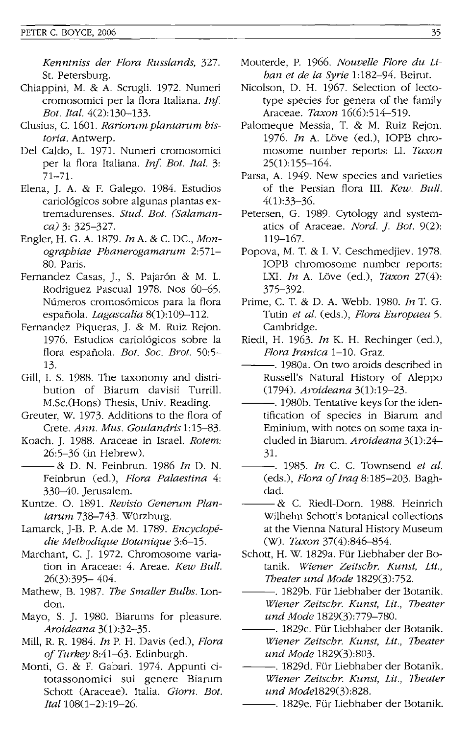*Kenntniss der Flora Russlands, 327.*  St. Petersburg.

- Chiappini, M. & A. Scrugli. 1972. Numeri cromosomici per la flora Italiana. *In! Bot. Ital. 4(2):130-133.*
- Clusius, C. 1601. *Rariorum plantarum historia.* Antwerp.
- Del Caldo, L. 1971. Numeri cromosomici per la flora Italiana. *Inf. Bot. Ital.* 3: 71-71.
- Elena, ]. A. & F. Galego. 1984. Estudios cariol6gicos sobre algunas plantas extremadurenses. *Stud. Bot. (Salamanca)* 3: 325-327.
- Engler, H. G. A. 1879. *InA.* & c. DC., *Monographiae Phanerogamarum 2:571-* 80. Paris.
- Fernandez Casas, J., S. Pajarón & M. L. Rodriguez Pascual 1978. Nos 60-65. Números cromosómicos para la flora española. *Lagascalia* 8(1):109-112.
- Fernandez Piqueras, J. & M. Ruiz Rejon. 1976. Estudios cariol6gicos sobre la flora espanola. *Bot. Soc. Brot. 50:5-* 13.
- Gill, I. S. 1988. The taxonomy and distribution of Biarum davisii Turrill. M.Sc.(Hons) Thesis, Univ. Reading.
- Greuter, W. 1973. Additions to the flora of Crete. *Ann. Mus. Goulandris 1:15-83.*
- Koach. ]. 1988. Araceae in Israel. *Rotem:*  26:5-36 (in Hebrew).
- ---& D. N. Feinbrun. 1986 *In* D. N. Feinbrun (ed.), *Flora Palaestina 4:*  330-40. Jerusalem.
- Kuntze. O. 1891. *Revisio Generum Plan*tarum 738-743. Würzburg.
- Lamarck, J-B. P. A.de M. 1789. *Encyclopedie Methodique Botanique 3:6-15.*
- Marchant, C. J. 1972. Chromosome variation in Araceae: 4. Areae. *Kew Bull.*  26(3):395- 404.
- Mathew, B. 1987. *The Smaller Bulbs.* London.
- Mayo, S. ]. 1980. Biarums for pleasure. *Aroideana 3(1):32-35.*
- Mill, R. R. 1984. *In* P. H. Davis (ed.), *Flora qf Turkey* 8:41-63. Edinburgh.
- Monti, G. & F. Gabari. 1974. Appunti citotassonomici sui genere Biarum Schott (Araceae). ltalia. *Giorn. Bot. ItaI108(1-2):19-26.*
- Mouterde, P. 1966. *Nouvelle Flore du Liban et de la Syrie* 1:182-94. Beirut.
- Nicolson, D. H. 1967. Selection of lectotype species for genera of the family Araceae. *Taxon 16(6):514-519.*
- Palomeque Messia, T. & M. Ruiz Rejon. 1976. *In* A. Löve (ed.), IOPB chromosome number reports: LI. Taxon 25(1): 155-164.
- Parsa, A. 1949. New species and varieties of the Persian flora III. *Kew. Bull.*  4(1):33-36.
- Petersen, G. 1989. Cytology and systematics of Araceae. *Nord. j. Bot. 9(2):*  119-167.
- Popova, M. T. & I. V. Ceschmedjiev. 1978. IOPB chromosome number reports: LXI. *In* A. Löve (ed.), *Taxon* 27(4): 375-392.
- Prime, C. T. & D. A. Webb. 1980. *In* T. G. Tutin *et al.* (eds.), *Flora Europaea 5.*  Cambridge.
- Riedl, H. 1963. *In* K. H. Rechinger (ed.), *Flora Iranica* 1-10. Graz.
- -- 1980a. On two aroids described in Russell's Natural History of Aleppo *(1794). Aroideana* 3(1): 19-23.
- -. 1980b. Tentative keys for the identification of species in Biarum and Eminium, with notes on some taxa included in Biarum. *Aroideana 3(1):24-* 31.
- ---. 1985. *In* C. C. Townsend *et al.*  (eds.), *Flora of Iraq* 8:185-203. Baghdad.
- -& C. Riedl-Dorn. 1988. Heinrich Wilhelm Schott's botanical collections at the Vienna Natural History Museum (W). *Taxon 37(4):846-854.*
- Schott, H. W. 1829a. Für Liebhaber der Botanik. *Wiener Zeitschr. Kunst, Lit., Theater und Mode 1829(3):752.* 
	- -- 1829b. Für Liebhaber der Botanik. *Wiener Zeitschr. Kunst, Lit., Theater und Mode 1829(3):779-780.*
	- –. 1829c. Für Liebhaber der Botanik. *Wiener Zeitschr. Kunst, Lit., Theater und Mode 1829(3):803.*
	- –. 1829d. Für Liebhaber der Botanik. *Wiener Zeitschr. Kunst, Lit., Theater und Mode1829(3):828.* 
		- $-$ . 1829e. Für Liebhaber der Botanik.